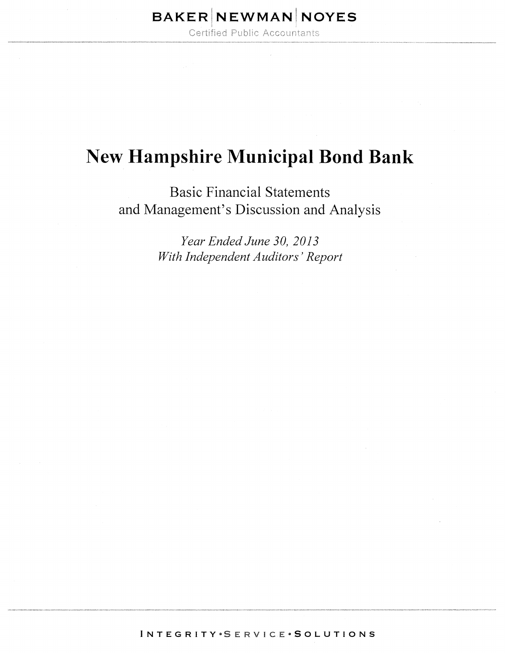## **BAKER NEWMAN NOYES**

Certified Public Accountants

# **New Hampshire Municipal Bond Bank**

Basic Financial Statements and Management's Discussion and Analysis

> *Year Ended June 30, 2013 With Independent Auditors' Report*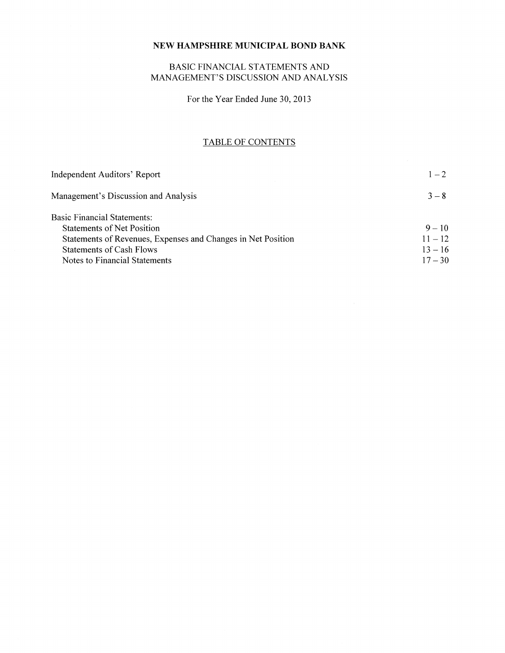#### BASIC FINANCIAL STATEMENTS AND MANAGEMENT'S DISCUSSION AND ANALYSIS

For the Year Ended June 30, 2013

## TABLE OF CONTENTS

| Independent Auditors' Report                                 | $1 - 2$   |
|--------------------------------------------------------------|-----------|
| Management's Discussion and Analysis                         | $3 - 8$   |
| <b>Basic Financial Statements:</b>                           |           |
| <b>Statements of Net Position</b>                            | $9 - 10$  |
| Statements of Revenues, Expenses and Changes in Net Position | $11 - 12$ |
| <b>Statements of Cash Flows</b>                              | $13 - 16$ |
| Notes to Financial Statements                                | $17 - 30$ |
|                                                              |           |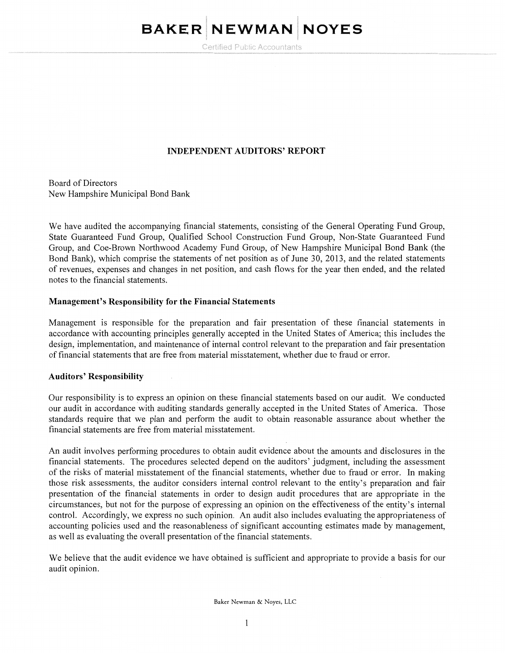# **BAKER NEWMAN NOYES**

Certified Public Accountants

#### **INDEPENDENT AUDITORS' REPORT**

Board of Directors New Hampshire Municipal Bond Bank

We have audited the accompanying financial statements, consisting of the General Operating Fund Group, State Guaranteed Fund Group, Qualified School Construction Fund Group, Non-State Guaranteed Fund Group, and Coe-Brown Northwood Academy Fund Group, of New Hampshire Municipal Bond Bank (the Bond Bank), which comprise the statements of net position as of June 30, 2013, and the related statements of revenues, expenses and changes in net position, and cash flows for the year then ended, and the related notes to the financial statements.

#### **Management's Responsibility for the Financial Statements**

Management is responsible for the preparation and fair presentation of these financial statements in accordance with accounting principles generally accepted in the United States of America; this includes the design, implementation, and maintenance of internal control relevant to the preparation and fair presentation of financial statements that are free from material misstatement, whether due to fraud or error.

#### **Auditors' Responsibility**

Our responsibility is to express an opinion on these financial statements based on our audit. We conducted our audit in accordance with auditing standards generally accepted in the United States of America. Those standards require that we plan and perform the audit to obtain reasonable assurance about whether the financial statements are free from material misstatement.

An audit involves performing procedures to obtain audit evidence about the amounts and disclosures in the financial statements. The procedures selected depend on the auditors' judgment, including the assessment of the risks of material misstatement of the financial statements, whether due to fraud or error. In making those risk assessments, the auditor considers internal control relevant to the entity's preparation and fair presentation of the financial statements in order to design audit procedures that are appropriate in the circumstances, but not for the purpose of expressing an opinion on the effectiveness of the entity's internal control. Accordingly, we express no such opinion. An audit also includes evaluating the appropriateness of accounting policies used and the reasonableness of significant accounting estimates made by management, as well as evaluating the overall presentation of the financial statements.

We believe that the audit evidence we have obtained is sufficient and appropriate to provide a basis for our audit opinion.

Baker Newman & Noyes, LLC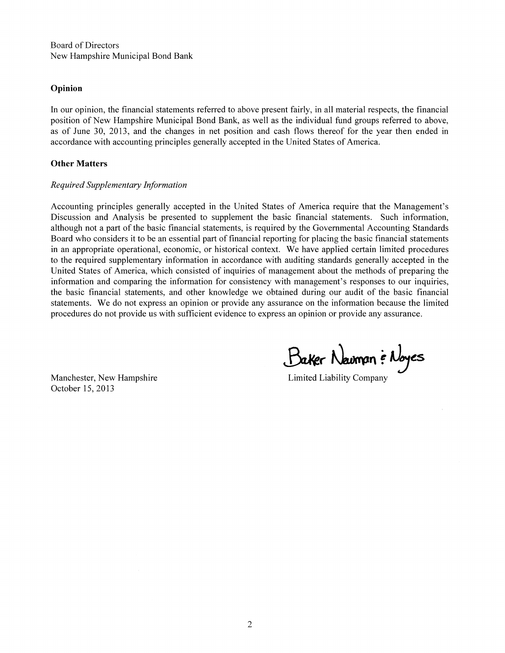Board of Directors New Hampshire Municipal Bond Bank

#### **Opinion**

In our opinion, the financial statements referred to above present fairly, in all material respects, the financial position of New Hampshire Municipal Bond Bank, as well as the individual fund groups referred to above, as of June 30, 2013, and the changes in net position and cash flows thereof for the year then ended in accordance with accounting principles generally accepted in the United States of America.

#### **Other Matters**

#### *Required Supplementary Information*

Accounting principles generally accepted in the United States of America require that the Management's Discussion and Analysis be presented to supplement the basic financial statements. Such information, although not a part of the basic financial statements, is required by the Governmental Accounting Standards Board who considers it to be an essential part of financial reporting for placing the basic financial statements in an appropriate operational, economic, or historical context. We have applied certain limited procedures to the required supplementary information in accordance with auditing standards generally accepted in the United States of America, which consisted of inquiries of management about the methods of preparing the information and comparing the information for consistency with management's responses to our inquiries, the basic financial statements, and other knowledge we obtained during our audit of the basic financial statements. We do not express an opinion or provide any assurance on the information because the limited procedures do not provide us with sufficient evidence to express an opinion or provide any assurance.

Manchester, New Hampshire October 15, 2013

Baker Navman & Noyes

Limited Liability Company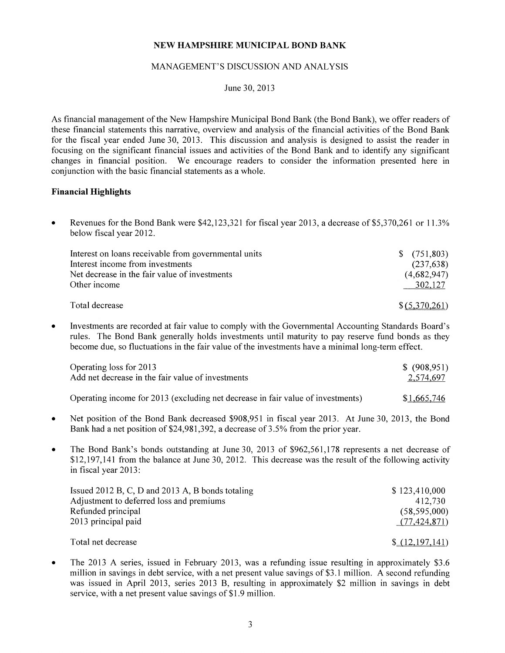#### MANAGEMENT'S DISCUSSION AND ANALYSIS

#### June 30, 2013

As financial management of the New Hampshire Municipal Bond Bank (the Bond Bank), we offer readers of these financial statements this narrative, overview and analysis of the financial activities of the Bond Bank for the fiscal year ended June 30, 2013. This discussion and analysis is designed to assist the reader in focusing on the significant financial issues and activities of the Bond Bank and to identify any significant changes in financial position. We encourage readers to consider the information presented here in conjunction with the basic financial statements as a whole.

#### **Financial Highlights**

Revenues for the Bond Bank were \$42,123,321 for fiscal year 2013, a decrease of \$5,370,261 or 11.3% below fiscal year 2012.

| Interest on loans receivable from governmental units<br>Interest income from investments | \$(751,803)<br>(237, 638) |
|------------------------------------------------------------------------------------------|---------------------------|
| Net decrease in the fair value of investments                                            | (4,682,947)               |
| Other income                                                                             | 302,127                   |
| Total decrease                                                                           | \$ (5,370,261)            |

Total decrease

• Investments are recorded at fair value to comply with the Governmental Accounting Standards Board's rules. The Bond Bank generally holds investments until maturity to pay reserve fund bonds as they become due, so fluctuations in the fair value of the investments have a minimal long-term effect.

| Operating loss for 2013                                                         | \$ (908, 951) |
|---------------------------------------------------------------------------------|---------------|
| Add net decrease in the fair value of investments                               | 2,574,697     |
| Operating income for 2013 (excluding net decrease in fair value of investments) | \$1,665,746   |

- Net position of the Bond Bank decreased \$908,951 in fiscal year 2013. At June 30, 2013, the Bond
- Bank had a net position of \$24,981,392, a decrease of 3.5% from the prior year.
- The Bond Bank's bonds outstanding at June 30, 2013 of \$962,561,178 represents a net decrease of \$12,197,141 from the balance at June 30, 2012. This decrease was the result of the following activity in fiscal year 2013:

| Issued 2012 B, C, D and 2013 A, B bonds totaling | \$123,410,000  |
|--------------------------------------------------|----------------|
| Adjustment to deferred loss and premiums         | 412.730        |
| Refunded principal                               | (58, 595, 000) |
| 2013 principal paid                              | (77, 424, 871) |
|                                                  |                |
| Total net decrease                               | (12, 197, 141) |

• The 2013 A series, issued in February 2013, was a refunding issue resulting in approximately \$3.6 million in savings in debt service, with a net present value savings of \$3.1 million. A second refunding was issued in April 2013, series 2013 B, resulting in approximately \$2 million in savings in debt service, with a net present value savings of \$1.9 million.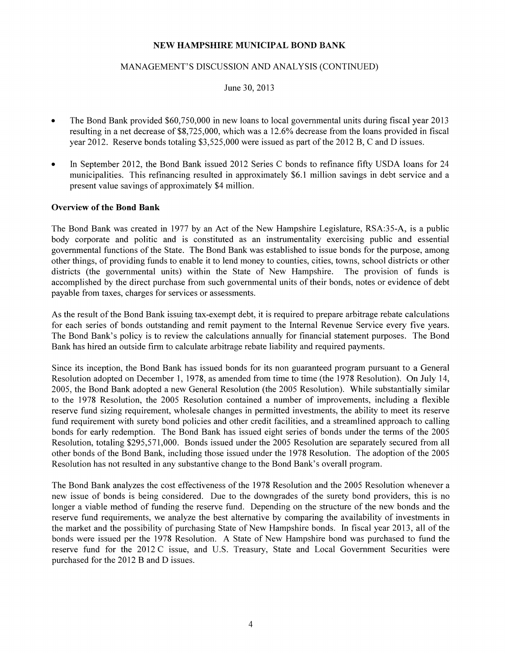#### MANAGEMENT'S DISCUSSION AND ANALYSIS (CONTINUED)

#### June 30, 2013

- The Bond Bank provided \$60,750,000 in new loans to local governmental units during fiscal year 2013 resulting in a net decrease of \$8,725,000, which was a 12.6% decrease from the loans provided in fiscal year 2012. Reserve bonds totaling \$3,525,000 were issued as part of the 2012 B, C and D issues.
- In September 2012, the Bond Bank issued 2012 Series C bonds to refinance fifty USDA loans for 24 municipalities. This refinancing resulted in approximately \$6.1 million savings in debt service and a present value savings of approximately \$4 million.

#### **Overview of the Bond Bank**

The Bond Bank was created in 1977 by an Act of the New Hampshire Legislature, RSA:35-A, is a public body corporate and politic and is constituted as an instrumentality exercising public and essential governmental functions of the State. The Bond Bank was established to issue bonds for the purpose, among other things, of providing funds to enable it to lend money to counties, cities, towns, school districts or other districts (the governmental units) within the State of New Hampshire. The provision of funds is accomplished by the direct purchase from such governmental units of their bonds, notes or evidence of debt payable from taxes, charges for services or assessments.

As the result of the Bond Bank issuing tax-exempt debt, it is required to prepare arbitrage rebate calculations for each series of bonds outstanding and remit payment to the Internal Revenue Service every five years. The Bond Bank's policy is to review the calculations annually for financial statement purposes. The Bond Bank has hired an outside firm to calculate arbitrage rebate liability and required payments.

Since its inception, the Bond Bank has issued bonds for its non guaranteed program pursuant to a General Resolution adopted on December 1, 1978, as amended from time to time (the 1978 Resolution). On July 14, 2005, the Bond Bank adopted a new General Resolution (the 2005 Resolution). While substantially similar to the 1978 Resolution, the 2005 Resolution contained a number of improvements, including a flexible reserve fund sizing requirement, wholesale changes in permitted investments, the ability to meet its reserve fund requirement with surety bond policies and other credit facilities, and a streamlined approach to calling bonds for early redemption. The Bond Bank has issued eight series of bonds under the terms of the 2005 Resolution, totaling \$295,571,000. Bonds issued under the 2005 Resolution are separately secured from all other bonds of the Bond Bank, including those issued under the 1978 Resolution. The adoption of the 2005 Resolution has not resulted in any substantive change to the Bond Bank's overall program.

The Bond Bank analyzes the cost effectiveness of the 1978 Resolution and the 2005 Resolution whenever a new issue of bonds is being considered. Due to the downgrades of the surety bond providers, this is no longer a viable method of funding the reserve fund. Depending on the structure of the new bonds and the reserve fund requirements, we analyze the best alternative by comparing the availability of investments in the market and the possibility of purchasing State of New Hampshire bonds. In fiscal year 2013, all of the bonds were issued per the 1978 Resolution. A State of New Hampshire bond was purchased to fund the reserve fund for the 2012 C issue, and U.S. Treasury, State and Local Government Securities were purchased for the 2012 B and D issues.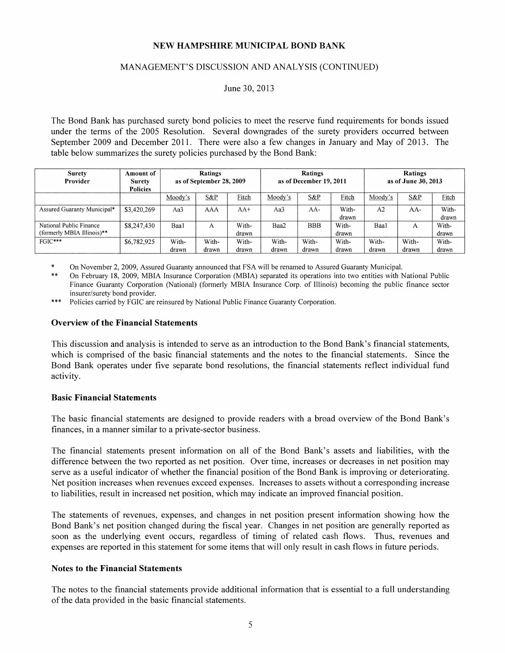#### MANAGEMENT'S DISCUSSION AND ANALYSIS (CONTINUED)

#### June 30, 2013

The Bond Bank has purchased surety bond policies to meet the reserve fund requirements for bonds issued under the terms of the 2005 Resolution. Several downgrades of the surety providers occurred between September 2009 and December 2011. There were also a few changes in January and May of 2013. The table below summarizes the surety policies purchased by the Bond Bank:

| <b>Surety</b><br>Provider                             | <b>Amount of</b><br><b>Surety</b><br><b>Policies</b> | Ratings<br>as of September 28, 2009 |                |                | <b>Ratings</b><br>as of December 19, 2011 |                |                | Ratings<br>as of June 30, 2013 |                |                |
|-------------------------------------------------------|------------------------------------------------------|-------------------------------------|----------------|----------------|-------------------------------------------|----------------|----------------|--------------------------------|----------------|----------------|
|                                                       |                                                      | Moody's                             | S&P            | Fitch          | Moody's                                   | <u>S&amp;P</u> | Fitch          | Moody's                        | S&P            | Fitch          |
| Assured Guaranty Municipal*                           | \$3,420,269                                          | Aa3                                 | AAA            | AA+            | Aa3                                       | AA-            | With-<br>drawn | A <sub>2</sub>                 | AA-            | With-<br>drawn |
| National Public Finance<br>(formerly MBIA Illinois)** | \$8,247,430                                          | Baal                                | A              | With-<br>drawn | Baa2                                      | <b>BBB</b>     | With-<br>drawn | Baa1                           | A              | With-<br>drawn |
| $FGIC***$                                             | \$6,782,925                                          | With-<br>drawn                      | With-<br>drawn | With-<br>drawn | With-<br>drawn                            | With-<br>drawn | With-<br>drawn | With-<br>drawn                 | With-<br>drawn | With-<br>drawn |

\* On November 2, 2009, Assured Guaranty announced that FSA will be renamed to Assured Guaranty Municipal.

\*\* On February 18, 2009, MBIA Insurance Corporation (MBIA) separated its operations into two entities with National Public Finance Guaranty Corporation (National) (formerly MBIA Insurance Corp. of Illinois) becoming the public finance sector insurer/surety bond provider.

\*\*\* Policies carried by FGIC are reinsured by National Public Finance Guaranty Corporation.

#### Overview of the Financial Statements

This discussion and analysis is intended to serve as an introduction to the Bond Bank's financial statements, which is comprised of the basic financial statements and the notes to the financial statements. Since the Bond Bank operates under five separate bond resolutions, the financial statements reflect individual fund activity.

#### Basic Financial Statements

The basic financial statements are designed to provide readers with a broad overview of the Bond Bank's finances, in a manner similar to a private-sector business.

The financial statements present information on all of the Bond Bank's assets and liabilities, with the difference between the two reported as net position. Over time, increases or decreases in net position may serve as a useful indicator of whether the financial position of the Bond Bank is improving or deteriorating. Net position increases when revenues exceed expenses. Increases to assets without a corresponding increase to liabilities, result in increased net position, which may indicate an improved financial position.

The statements of revenues, expenses, and changes in net position present information showing how the Bond Bank's net position changed during the fiscal year. Changes in net position are generally reported as soon as the underlying event occurs, regardless of timing of related cash flows. Thus, revenues and expenses are reported in this statement for some items that will only result in cash flows in future periods.

#### Notes to the Financial Statements

The notes to the financial statements provide additional information that is essential to a full understanding of the data provided in the basic financial statements.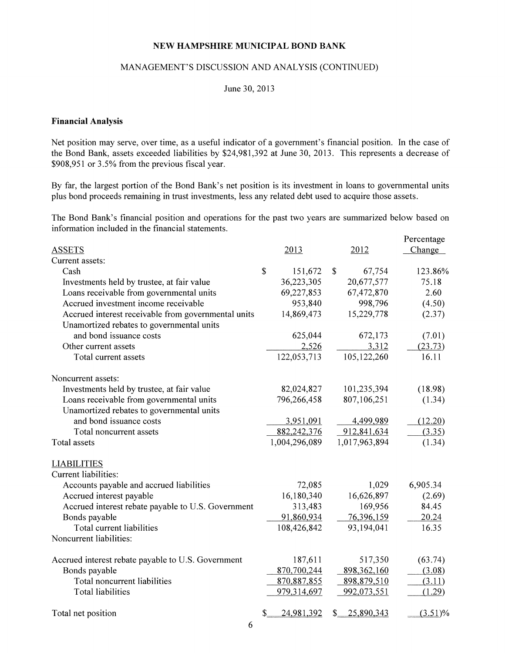#### MANAGEMENT'S DISCUSSION AND ANALYSIS (CONTINUED)

June 30, 2013

#### **Financial** Analysis

Net position may serve, over time, as a useful indicator of a government's financial position. In the case of the Bond Bank, assets exceeded liabilities by \$24,981,392 at June 30, 2013. This represents a decrease of \$908,951 or 3.5% from the previous fiscal year.

By far, the largest portion of the Bond Bank's net position is its investment in loans to governmental units plus bond proceeds remaining in trust investments, less any related debt used to acquire those assets.

The Bond Bank's financial position and operations for the past two years are summarized below based on information included in the financial statements.

|                                                                                                  |                  |               |              |                       | Percentage |
|--------------------------------------------------------------------------------------------------|------------------|---------------|--------------|-----------------------|------------|
| <b>ASSETS</b>                                                                                    |                  | 2013          |              | 2012                  | Change     |
| Current assets:                                                                                  |                  |               |              |                       |            |
| Cash                                                                                             | $\mathbf S$      | 151,672       | $\mathbb{S}$ | 67,754                | 123.86%    |
| Investments held by trustee, at fair value                                                       |                  | 36,223,305    |              | 20,677,577            | 75.18      |
| Loans receivable from governmental units                                                         |                  | 69,227,853    |              | 67,472,870            | 2.60       |
| Accrued investment income receivable                                                             |                  | 953,840       |              | 998,796               | (4.50)     |
| Accrued interest receivable from governmental units<br>Unamortized rebates to governmental units |                  | 14,869,473    |              | 15,229,778            | (2.37)     |
| and bond issuance costs                                                                          |                  | 625,044       |              | 672,173               | (7.01)     |
| Other current assets                                                                             |                  | 2,526         |              | 3,312                 | (23.73)    |
| Total current assets                                                                             |                  | 122,053,713   |              | 105,122,260           | 16.11      |
| Noncurrent assets:                                                                               |                  |               |              |                       |            |
| Investments held by trustee, at fair value                                                       |                  | 82,024,827    |              | 101,235,394           | (18.98)    |
| Loans receivable from governmental units                                                         |                  | 796,266,458   |              | 807,106,251           | (1.34)     |
| Unamortized rebates to governmental units                                                        |                  |               |              |                       |            |
| and bond issuance costs                                                                          |                  | 3,951,091     |              | 4,499,989             | (12.20)    |
| Total noncurrent assets                                                                          |                  | 882,242,376   |              | 912,841,634           | (3.35)     |
| Total assets                                                                                     |                  | 1,004,296,089 |              | 1,017,963,894         | (1.34)     |
| <b>LIABILITIES</b>                                                                               |                  |               |              |                       |            |
| Current liabilities:                                                                             |                  |               |              |                       |            |
| Accounts payable and accrued liabilities                                                         |                  | 72,085        |              | 1,029                 | 6,905.34   |
| Accrued interest payable                                                                         |                  | 16,180,340    |              | 16,626,897            | (2.69)     |
| Accrued interest rebate payable to U.S. Government                                               |                  | 313,483       |              | 169,956               | 84.45      |
| Bonds payable                                                                                    |                  | 91,860,934    |              | 76,396,159            | 20.24      |
| Total current liabilities                                                                        |                  | 108,426,842   |              | 93,194,041            | 16.35      |
| Noncurrent liabilities:                                                                          |                  |               |              |                       |            |
| Accrued interest rebate payable to U.S. Government                                               |                  | 187,611       |              | 517,350               | (63.74)    |
| Bonds payable                                                                                    |                  | 870,700,244   |              | 898, 362, 160         | (3.08)     |
| Total noncurrent liabilities                                                                     |                  | 870,887,855   |              | 898,879,510           | (3.11)     |
| <b>Total liabilities</b>                                                                         |                  | 979,314,697   |              | 992,073,551           | (1.29)     |
| Total net position                                                                               | $\mathsf{S}_{-}$ | 24,981,392    |              | 25,890,343<br>$S_{-}$ | $(3.51)\%$ |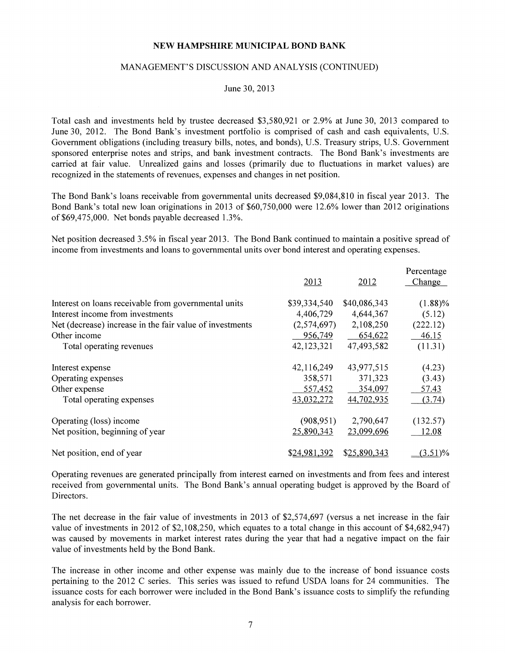#### MANAGEMENT'S DISCUSSION AND ANALYSIS (CONTINUED)

June 30, 2013

Total cash and investments held by trustee decreased \$3,580,921 or 2.9% at June 30, 2013 compared to June 30, 2012. The Bond Bank's investment portfolio is comprised of cash and cash equivalents, U.S. Government obligations (including treasury bills, notes, and bonds), U.S. Treasury strips, U.S. Government sponsored enterprise notes and strips, and bank investment contracts. The Bond Bank's investments are carried at fair value. Unrealized gains and losses (primarily due to fluctuations in market values) are recognized in the statements of revenues, expenses and changes in net position.

The Bond Bank's loans receivable from governmental units decreased \$9,084,810 in fiscal year 2013. The Bond Bank's total new loan originations in 2013 of \$60,750,000 were 12.6% lower than 2012 originations of\$69,475,000. Net bonds payable decreased 1.3%.

Net position decreased 3.5% in fiscal year 2013. The Bond Bank continued to maintain a positive spread of income from investments and loans to governmental units over bond interest and operating expenses.

|                                                          | 2013         | 2012         | Percentage<br>Change |
|----------------------------------------------------------|--------------|--------------|----------------------|
|                                                          |              |              |                      |
| Interest on loans receivable from governmental units     | \$39,334,540 | \$40,086,343 | $(1.88)\%$           |
| Interest income from investments                         | 4,406,729    | 4,644,367    | (5.12)               |
| Net (decrease) increase in the fair value of investments | (2,574,697)  | 2,108,250    | (222.12)             |
| Other income                                             | 956,749      | 654,622      | 46.15                |
| Total operating revenues                                 | 42,123,321   | 47,493,582   | (11.31)              |
| Interest expense                                         | 42,116,249   | 43,977,515   | (4.23)               |
| Operating expenses                                       | 358,571      | 371,323      | (3.43)               |
| Other expense                                            | 557,452      | 354,097      | 57.43                |
| Total operating expenses                                 | 43,032,272   | 44,702,935   | (3.74)               |
| Operating (loss) income                                  | (908, 951)   | 2,790,647    | (132.57)             |
| Net position, beginning of year                          | 25,890,343   | 23,099,696   | 12.08                |
| Net position, end of year                                | \$24,981,392 | \$25,890,343 | $(3.51)\%$           |

Operating revenues are generated principally from interest earned on investments and from fees and interest received from governmental units. The Bond Bank's annual operating budget is approved by the Board of Directors.

The net decrease in the fair value of investments in 2013 of \$2,574,697 (versus a net increase in the fair value of investments in 2012 of \$2,108,250, which equates to a total change in this account of \$4,682,947) was caused by movements in market interest rates during the year that had a negative impact on the fair value of investments held by the Bond Bank.

The increase in other income and other expense was mainly due to the increase of bond issuance costs pertaining to the 2012 C series. This series was issued to refund USDA loans for 24 communities. The issuance costs for each borrower were included in the Bond Bank's issuance costs to simplify the refunding analysis for each borrower.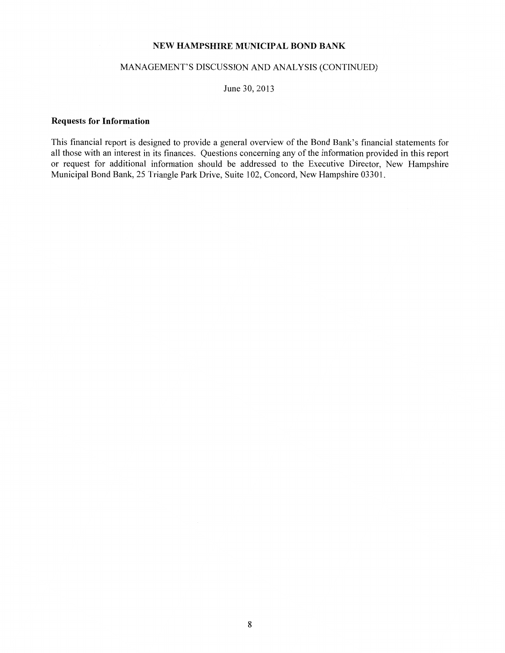#### MANAGEMENT'S DISCUSSION AND ANALYSIS (CONTINUED)

June 30, 2013

#### **Requests for Information**

This financial report is designed to provide a general overview of the Bond Bank's financial statements for all those with an interest in its finances. Questions concerning any of the information provided in this report or request for additional information should be addressed to the Executive Director, New Hampshire Municipal Bond Bank, 25 Triangle Park Drive, Suite 102, Concord, New Hampshire 03301.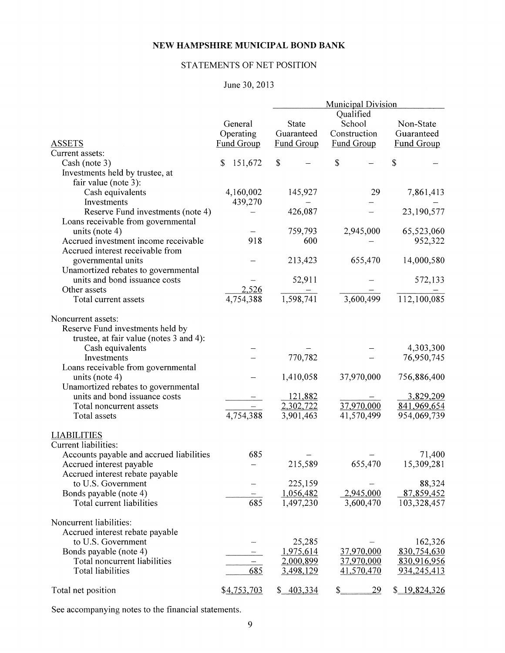### STATEMENTS OF NET POSITION

## June 30, 2013

|                                                       |                   | <b>Municipal Division</b> |                    |                   |  |  |  |
|-------------------------------------------------------|-------------------|---------------------------|--------------------|-------------------|--|--|--|
|                                                       |                   |                           | Qualified          |                   |  |  |  |
|                                                       | General           | <b>State</b>              | School             | Non-State         |  |  |  |
|                                                       | Operating         | Guaranteed                | Construction       | Guaranteed        |  |  |  |
| <b>ASSETS</b>                                         | <b>Fund Group</b> | <b>Fund Group</b>         | <b>Fund Group</b>  | <b>Fund Group</b> |  |  |  |
| Current assets:                                       |                   |                           |                    |                   |  |  |  |
| Cash (note 3)                                         | 151,672<br>\$     | \$                        | \$                 | \$                |  |  |  |
| Investments held by trustee, at                       |                   |                           |                    |                   |  |  |  |
| fair value (note 3):                                  |                   |                           |                    |                   |  |  |  |
| Cash equivalents                                      | 4,160,002         | 145,927                   | 29                 | 7,861,413         |  |  |  |
| Investments                                           | 439,270           |                           |                    |                   |  |  |  |
|                                                       |                   | 426,087                   |                    | 23,190,577        |  |  |  |
| Reserve Fund investments (note 4)                     |                   |                           |                    |                   |  |  |  |
| Loans receivable from governmental                    |                   |                           |                    |                   |  |  |  |
| units (note $4$ )                                     |                   | 759,793                   | 2,945,000          | 65,523,060        |  |  |  |
| Accrued investment income receivable                  | 918               | 600                       |                    | 952,322           |  |  |  |
| Accrued interest receivable from                      |                   |                           |                    |                   |  |  |  |
| governmental units                                    |                   | 213,423                   | 655,470            | 14,000,580        |  |  |  |
| Unamortized rebates to governmental                   |                   |                           |                    |                   |  |  |  |
| units and bond issuance costs                         |                   | 52,911                    |                    | 572,133           |  |  |  |
| Other assets                                          | 2,526             |                           |                    |                   |  |  |  |
| Total current assets                                  | 4,754,388         | 1,598,741                 | 3,600,499          | 112,100,085       |  |  |  |
| Noncurrent assets:                                    |                   |                           |                    |                   |  |  |  |
| Reserve Fund investments held by                      |                   |                           |                    |                   |  |  |  |
| trustee, at fair value (notes 3 and 4):               |                   |                           |                    |                   |  |  |  |
| Cash equivalents                                      |                   |                           |                    | 4,303,300         |  |  |  |
| Investments                                           |                   | 770,782                   |                    | 76,950,745        |  |  |  |
| Loans receivable from governmental                    |                   |                           |                    |                   |  |  |  |
| units (note $4$ )                                     |                   | 1,410,058                 | 37,970,000         | 756,886,400       |  |  |  |
| Unamortized rebates to governmental                   |                   |                           |                    |                   |  |  |  |
| units and bond issuance costs                         |                   | 121,882                   |                    | 3,829,209         |  |  |  |
| Total noncurrent assets                               |                   | 2,302,722                 | 37,970,000         | 841,969,654       |  |  |  |
| Total assets                                          | 4,754,388         | 3,901,463                 | 41,570,499         | 954,069,739       |  |  |  |
| <b>LIABILITIES</b>                                    |                   |                           |                    |                   |  |  |  |
| Current liabilities:                                  |                   |                           |                    |                   |  |  |  |
| Accounts payable and accrued liabilities              | 685               |                           |                    | 71,400            |  |  |  |
| Accrued interest payable                              |                   | 215,589                   | 655,470            | 15,309,281        |  |  |  |
|                                                       |                   |                           |                    |                   |  |  |  |
| Accrued interest rebate payable<br>to U.S. Government |                   | 225,159                   |                    |                   |  |  |  |
|                                                       |                   |                           | 2,945,000          | 88,324            |  |  |  |
| Bonds payable (note 4)                                |                   | 1,056,482                 |                    | 87,859,452        |  |  |  |
| Total current liabilities                             | 685               | 1,497,230                 | 3,600,470          | 103,328,457       |  |  |  |
| Noncurrent liabilities:                               |                   |                           |                    |                   |  |  |  |
| Accrued interest rebate payable                       |                   |                           |                    |                   |  |  |  |
| to U.S. Government                                    |                   | 25,285                    |                    | 162,326           |  |  |  |
| Bonds payable (note 4)                                |                   | 1,975,614                 | 37,970,000         | 830,754,630       |  |  |  |
| Total noncurrent liabilities                          |                   | 2,000,899                 | 37,970,000         | 830,916,956       |  |  |  |
| <b>Total liabilities</b>                              | 685               | 3,498,129                 | 41,570,470         | 934,245,413       |  |  |  |
|                                                       |                   |                           |                    |                   |  |  |  |
| Total net position                                    | \$4,753,703       | \$403,334                 | $\mathbb{S}$<br>29 | \$19,824,326      |  |  |  |

See accompanying notes to the financial statements.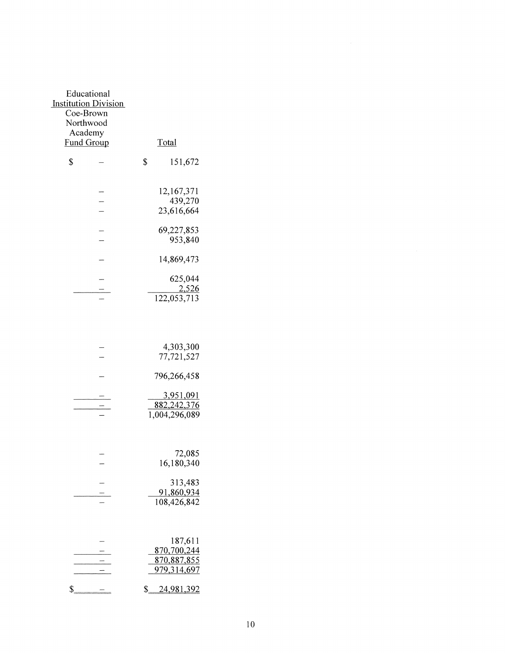| Educational          |               |
|----------------------|---------------|
| Institution Division |               |
| Coe-Brown            |               |
| Northwood            |               |
| Academy              |               |
| <b>Fund Group</b>    | Total         |
|                      |               |
| \$                   | \$<br>151,672 |
|                      |               |
|                      |               |
|                      | 12, 167, 371  |
|                      | 439,270       |
|                      | 23,616,664    |
|                      |               |
|                      | 69,227,853    |
|                      | 953,840       |
|                      |               |
|                      | 14,869,473    |
|                      |               |
|                      | 625,044       |
|                      | 2,526         |
|                      | 122,053,713   |
|                      |               |
|                      |               |
|                      |               |

| 4,303,300<br>77,721,527 |
|-------------------------|
| 796,266,458             |
| 3,951,091               |
| 882,242,376             |
| 1,004,296,089           |

| 72,085<br>16,180,340  |
|-----------------------|
| 313,483<br>91,860,934 |
| 108,426,842           |

| 187,611     |
|-------------|
| 870,700,244 |
| 870,887,855 |
| 979,314,697 |
| 24.981.392  |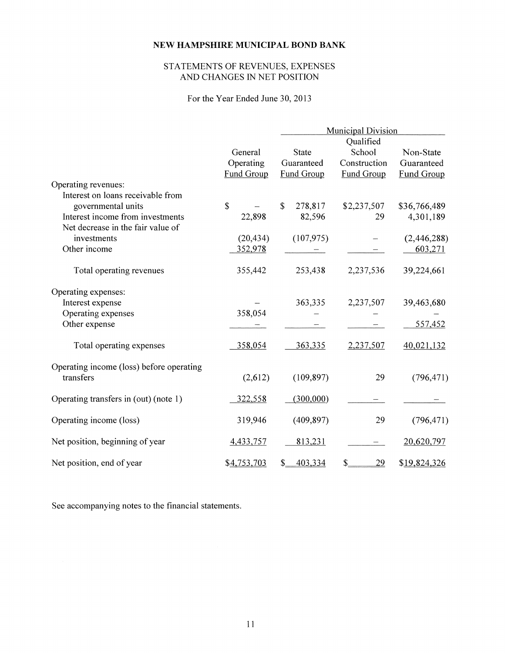#### STATEMENTS OF REVENUES, EXPENSES AND CHANGES IN NET POSITION

For the Year Ended June 30, 2013

|                                          |             |                         | <b>Municipal Division</b> |                   |  |
|------------------------------------------|-------------|-------------------------|---------------------------|-------------------|--|
|                                          |             |                         | Qualified                 |                   |  |
|                                          | General     | State                   | School                    | Non-State         |  |
|                                          | Operating   | Guaranteed              | Construction              | Guaranteed        |  |
|                                          | Fund Group  | Fund Group              | Fund Group                | <b>Fund Group</b> |  |
| Operating revenues:                      |             |                         |                           |                   |  |
| Interest on loans receivable from        |             |                         |                           |                   |  |
| governmental units                       | \$          | $\mathbb{S}$<br>278,817 | \$2,237,507               | \$36,766,489      |  |
| Interest income from investments         | 22,898      | 82,596                  | 29                        | 4,301,189         |  |
| Net decrease in the fair value of        |             |                         |                           |                   |  |
| investments                              | (20, 434)   | (107, 975)              |                           | (2,446,288)       |  |
| Other income                             | 352,978     |                         |                           | 603,271           |  |
| Total operating revenues                 | 355,442     | 253,438                 | 2,237,536                 | 39,224,661        |  |
| Operating expenses:                      |             |                         |                           |                   |  |
| Interest expense                         |             | 363,335                 | 2,237,507                 | 39,463,680        |  |
| Operating expenses                       | 358,054     |                         |                           |                   |  |
| Other expense                            |             |                         |                           | 557,452           |  |
| Total operating expenses                 | 358,054     | 363,335                 | 2,237,507                 | 40,021,132        |  |
| Operating income (loss) before operating |             |                         |                           |                   |  |
| transfers                                | (2,612)     | (109, 897)              | 29                        | (796, 471)        |  |
| Operating transfers in (out) (note 1)    | 322,558     | (300,000)               |                           |                   |  |
| Operating income (loss)                  | 319,946     | (409, 897)              | 29                        | (796, 471)        |  |
| Net position, beginning of year          | 4,433,757   | 813,231                 |                           | 20,620,797        |  |
| Net position, end of year                | \$4,753,703 | 403,334<br>\$           | \$<br>29                  | \$19,824,326      |  |

See accompanying notes to the financial statements.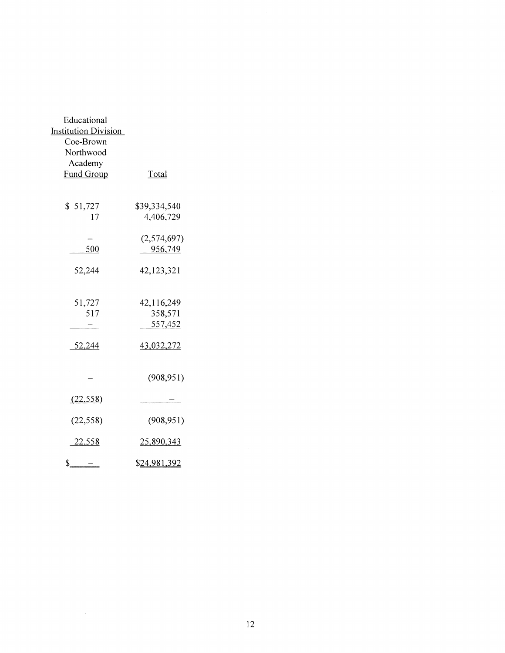| Educational<br><b>Institution Division</b><br>Coe-Brown<br>Northwood |                                  |
|----------------------------------------------------------------------|----------------------------------|
| Academy<br><b>Fund Group</b>                                         | Total                            |
| \$51,727                                                             | \$39,334,540                     |
| 17                                                                   | 4,406,729                        |
|                                                                      |                                  |
|                                                                      | (2,574,697)                      |
| 500                                                                  | 956,749                          |
| 52,244                                                               | 42,123,321                       |
| 51,727<br>517                                                        | 42,116,249<br>358,571<br>557,452 |
|                                                                      |                                  |
| 52,244                                                               | <u>43,032,272</u>                |
|                                                                      | (908, 951)                       |
| (22, 558)                                                            |                                  |
| (22, 558)                                                            | (908, 951)                       |
| 22,558                                                               | 25,890,343                       |
| $s$ –                                                                | \$24,981,392                     |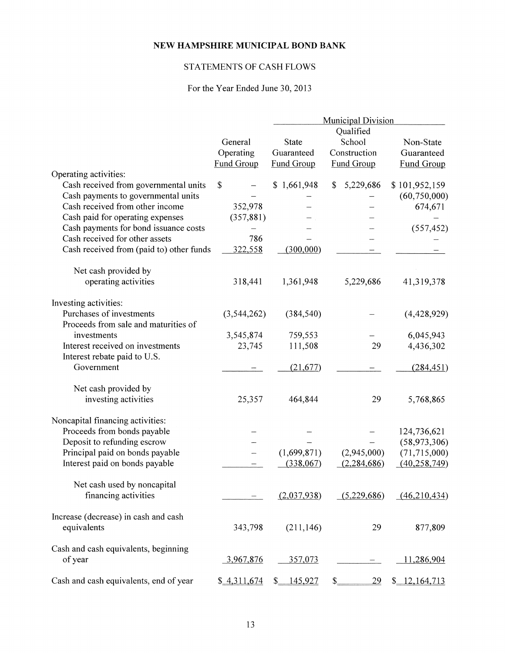## STATEMENTS OF CASH FLOWS

## For the Year Ended June 30,2013

|                                          |                   |                    | <b>Municipal Division</b> |                        |  |  |
|------------------------------------------|-------------------|--------------------|---------------------------|------------------------|--|--|
|                                          |                   |                    | Qualified                 |                        |  |  |
|                                          | General           | <b>State</b>       | School                    | Non-State              |  |  |
|                                          | Operating         | Guaranteed         | Construction              | Guaranteed             |  |  |
|                                          | <b>Fund Group</b> | <b>Fund Group</b>  | <b>Fund Group</b>         | <b>Fund Group</b>      |  |  |
| Operating activities:                    |                   |                    |                           |                        |  |  |
| Cash received from governmental units    | \$                | \$1,661,948        | 5,229,686<br>\$           | \$101,952,159          |  |  |
| Cash payments to governmental units      |                   |                    |                           | (60, 750, 000)         |  |  |
| Cash received from other income          |                   |                    |                           |                        |  |  |
|                                          | 352,978           |                    |                           | 674,671                |  |  |
| Cash paid for operating expenses         | (357, 881)        |                    |                           |                        |  |  |
| Cash payments for bond issuance costs    |                   |                    |                           | (557, 452)             |  |  |
| Cash received for other assets           | 786               |                    |                           |                        |  |  |
| Cash received from (paid to) other funds | 322,558           | (300,000)          |                           |                        |  |  |
| Net cash provided by                     |                   |                    |                           |                        |  |  |
| operating activities                     | 318,441           | 1,361,948          | 5,229,686                 | 41,319,378             |  |  |
| Investing activities:                    |                   |                    |                           |                        |  |  |
| Purchases of investments                 | (3,544,262)       | (384, 540)         |                           | (4,428,929)            |  |  |
| Proceeds from sale and maturities of     |                   |                    |                           |                        |  |  |
| investments                              | 3,545,874         | 759,553            |                           | 6,045,943              |  |  |
| Interest received on investments         | 23,745            | 111,508            | 29                        | 4,436,302              |  |  |
| Interest rebate paid to U.S.             |                   |                    |                           |                        |  |  |
| Government                               |                   | (21,677)           |                           | (284, 451)             |  |  |
| Net cash provided by                     |                   |                    |                           |                        |  |  |
| investing activities                     | 25,357            | 464,844            | 29                        | 5,768,865              |  |  |
| Noncapital financing activities:         |                   |                    |                           |                        |  |  |
| Proceeds from bonds payable              |                   |                    |                           | 124,736,621            |  |  |
| Deposit to refunding escrow              |                   |                    |                           | (58, 973, 306)         |  |  |
| Principal paid on bonds payable          |                   | (1,699,871)        | (2,945,000)               | (71, 715, 000)         |  |  |
| Interest paid on bonds payable           |                   | (338, 067)         | (2, 284, 686)             | (40, 258, 749)         |  |  |
|                                          |                   |                    |                           |                        |  |  |
| Net cash used by noncapital              |                   |                    |                           |                        |  |  |
| financing activities                     |                   | (2,037,938)        | (5,229,686)               | (46,210,434)           |  |  |
| Increase (decrease) in cash and cash     |                   |                    |                           |                        |  |  |
| equivalents                              | 343,798           | (211, 146)         | 29                        | 877,809                |  |  |
| Cash and cash equivalents, beginning     |                   |                    |                           |                        |  |  |
| of year                                  | 3,967,876         | 357,073            |                           | 11,286,904             |  |  |
| Cash and cash equivalents, end of year   | \$4,311,674       | 145,927<br>$S_{-}$ | $S_{-}$<br><u>29</u>      | $\frac{12,164,713}{2}$ |  |  |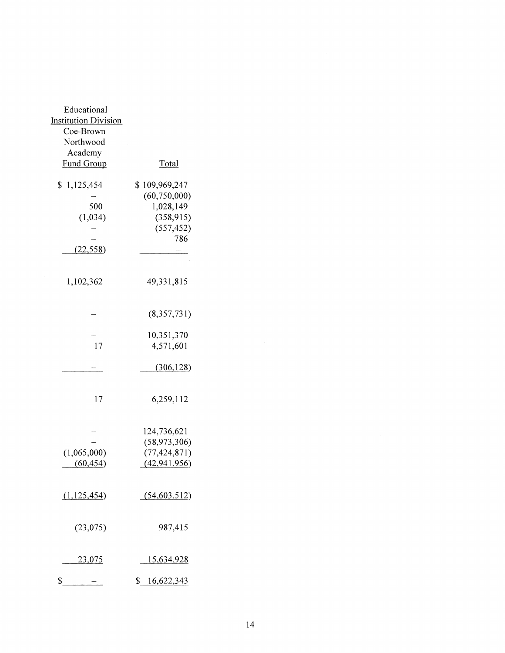| Educational<br><b>Institution Division</b><br>Coe-Brown<br>Northwood<br>Academy<br><b>Fund Group</b> | <b>Total</b>                                                                  |
|------------------------------------------------------------------------------------------------------|-------------------------------------------------------------------------------|
| \$<br>1,125,454<br>500<br>(1,034)<br>(22, 558)                                                       | \$109,969,247<br>(60,750,000)<br>1,028,149<br>(358, 915)<br>(557, 452)<br>786 |
| 1,102,362                                                                                            | 49,331,815                                                                    |
|                                                                                                      | (8,357,731)                                                                   |
| 17                                                                                                   | 10,351,370<br>4,571,601                                                       |
|                                                                                                      | (306, 128)                                                                    |
| 17                                                                                                   | 6,259,112                                                                     |
| (1,065,000)<br>(60, 454)                                                                             | 124,736,621<br>(58, 973, 306)<br>(77, 424, 871)<br>(42, 941, 956)             |
| (1, 125, 454)                                                                                        | (54,603,512)                                                                  |
| (23,075)                                                                                             | 987,415                                                                       |
| 23,075                                                                                               | 15,634,928                                                                    |
| $\frac{\text{S}}{\text{S}}$                                                                          | \$16,622,343                                                                  |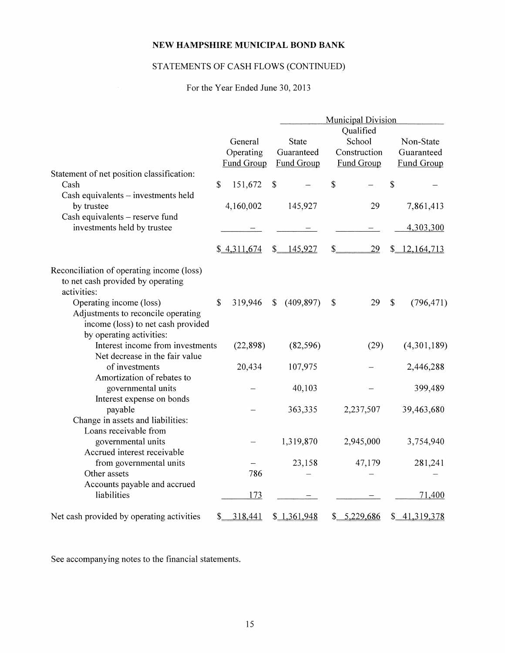## STATEMENTS OF CASH FLOWS (CONTINUED)

## For the Year Ended June 30, 2013

|                                           |              |                   |                   |              |             | <b>Municipal Division</b> |                           |                   |  |  |
|-------------------------------------------|--------------|-------------------|-------------------|--------------|-------------|---------------------------|---------------------------|-------------------|--|--|
|                                           |              |                   |                   |              |             | Qualified                 |                           |                   |  |  |
|                                           |              | General           |                   | <b>State</b> |             | School                    |                           | Non-State         |  |  |
|                                           |              | Operating         |                   | Guaranteed   |             | Construction              | Guaranteed                |                   |  |  |
|                                           |              | <b>Fund Group</b> |                   | Fund Group   |             | <b>Fund Group</b>         |                           | <b>Fund Group</b> |  |  |
| Statement of net position classification: |              |                   |                   |              |             |                           |                           |                   |  |  |
| Cash                                      | $\mathbb{S}$ | 151,672<br>\$     |                   |              |             |                           | \$                        |                   |  |  |
| Cash equivalents - investments held       |              |                   |                   |              | \$          |                           |                           |                   |  |  |
| by trustee                                |              | 4,160,002         |                   | 145,927      |             | 29                        |                           | 7,861,413         |  |  |
| Cash equivalents - reserve fund           |              |                   |                   |              |             |                           |                           |                   |  |  |
| investments held by trustee               |              |                   |                   |              |             |                           | 4,303,300                 |                   |  |  |
|                                           |              |                   |                   |              |             |                           |                           |                   |  |  |
|                                           |              | \$4,311,674       | $\mathcal{S}_{-}$ | 145,927      | $S_{-}$     | 29                        |                           | \$12,164,713      |  |  |
|                                           |              |                   |                   |              |             |                           |                           |                   |  |  |
| Reconciliation of operating income (loss) |              |                   |                   |              |             |                           |                           |                   |  |  |
| to net cash provided by operating         |              |                   |                   |              |             |                           |                           |                   |  |  |
| activities:                               |              |                   |                   |              |             |                           |                           |                   |  |  |
| Operating income (loss)                   | $\mathbb{S}$ | 319,946           | $\mathbb{S}$      | (409, 897)   | $\mathbf S$ | 29                        | $\boldsymbol{\mathsf{S}}$ | (796, 471)        |  |  |
| Adjustments to reconcile operating        |              |                   |                   |              |             |                           |                           |                   |  |  |
| income (loss) to net cash provided        |              |                   |                   |              |             |                           |                           |                   |  |  |
| by operating activities:                  |              |                   |                   |              |             |                           |                           |                   |  |  |
| Interest income from investments          |              | (22,898)          |                   | (82, 596)    |             | (29)                      |                           | (4,301,189)       |  |  |
| Net decrease in the fair value            |              |                   |                   |              |             |                           |                           |                   |  |  |
| of investments                            |              | 20,434            |                   | 107,975      |             |                           |                           | 2,446,288         |  |  |
| Amortization of rebates to                |              |                   |                   |              |             |                           |                           |                   |  |  |
| governmental units                        |              |                   |                   | 40,103       |             |                           |                           | 399,489           |  |  |
| Interest expense on bonds                 |              |                   |                   |              |             |                           |                           |                   |  |  |
| payable                                   |              |                   |                   | 363,335      |             | 2,237,507                 |                           | 39,463,680        |  |  |
| Change in assets and liabilities:         |              |                   |                   |              |             |                           |                           |                   |  |  |
| Loans receivable from                     |              |                   |                   |              |             |                           |                           |                   |  |  |
| governmental units                        |              |                   |                   | 1,319,870    |             | 2,945,000                 |                           | 3,754,940         |  |  |
| Accrued interest receivable               |              |                   |                   |              |             |                           |                           |                   |  |  |
| from governmental units                   |              |                   |                   | 23,158       |             | 47,179                    |                           | 281,241           |  |  |
| Other assets                              |              | 786               |                   |              |             |                           |                           |                   |  |  |
| Accounts payable and accrued              |              |                   |                   |              |             |                           |                           |                   |  |  |
| liabilities                               |              | 173               |                   |              |             |                           |                           | 71,400            |  |  |
|                                           |              |                   |                   |              |             |                           |                           |                   |  |  |
| Net cash provided by operating activities | $S_{-}$      | 318,441           |                   | \$1,361,948  |             | \$ 5,229,686              |                           | \$41,319,378      |  |  |

See accompanying notes to the financial statements.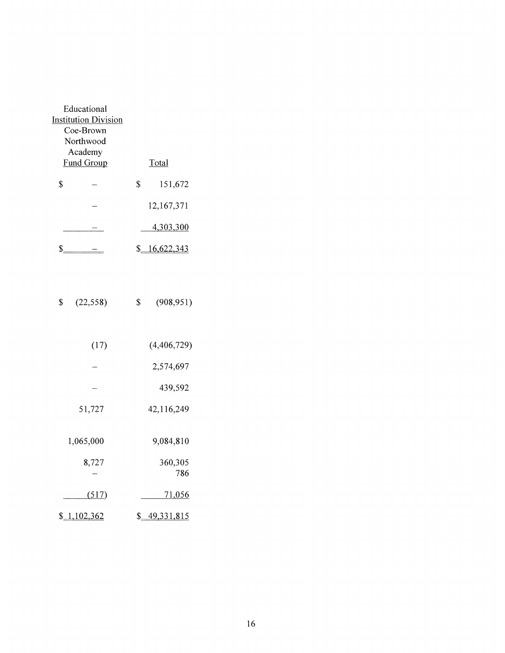| Educational<br><b>Institution Division</b><br>Coe-Brown<br>Northwood<br>Academy<br><b>Fund Group</b>                                                                                                                                                                                                                                                                         | Total                |
|------------------------------------------------------------------------------------------------------------------------------------------------------------------------------------------------------------------------------------------------------------------------------------------------------------------------------------------------------------------------------|----------------------|
| \$                                                                                                                                                                                                                                                                                                                                                                           | 151,672<br>\$        |
|                                                                                                                                                                                                                                                                                                                                                                              | 12,167,371           |
|                                                                                                                                                                                                                                                                                                                                                                              | $-4,303,300$         |
| $\frac{\S_{\frac{1}{2}}}{\S_{\frac{1}{2}}}{\S_{\frac{1}{2}}}{\S_{\frac{1}{2}}}{\S_{\frac{1}{2}}}{\S_{\frac{1}{2}}}{\S_{\frac{1}{2}}}{\S_{\frac{1}{2}}}{\S_{\frac{1}{2}}}{\S_{\frac{1}{2}}}{\S_{\frac{1}{2}}}{\S_{\frac{1}{2}}}{\S_{\frac{1}{2}}}{\S_{\frac{1}{2}}}{\S_{\frac{1}{2}}}{\S_{\frac{1}{2}}}{\S_{\frac{1}{2}}}{\S_{\frac{1}{2}}}{\S_{\frac{1}{2}}}{\S_{\frac{1}{2$ | \$16,622,343         |
| \$<br>(22, 558)                                                                                                                                                                                                                                                                                                                                                              | \$<br>(908, 951)     |
| (17)                                                                                                                                                                                                                                                                                                                                                                         | (4,406,729)          |
|                                                                                                                                                                                                                                                                                                                                                                              | 2,574,697            |
|                                                                                                                                                                                                                                                                                                                                                                              | 439,592              |
| 51,727                                                                                                                                                                                                                                                                                                                                                                       | 42,116,249           |
| 1,065,000<br>8,727                                                                                                                                                                                                                                                                                                                                                           | 9,084,810<br>360,305 |
|                                                                                                                                                                                                                                                                                                                                                                              | 786                  |
| (517)                                                                                                                                                                                                                                                                                                                                                                        | 71,056               |
| \$1,102,362                                                                                                                                                                                                                                                                                                                                                                  | \$49,331,815         |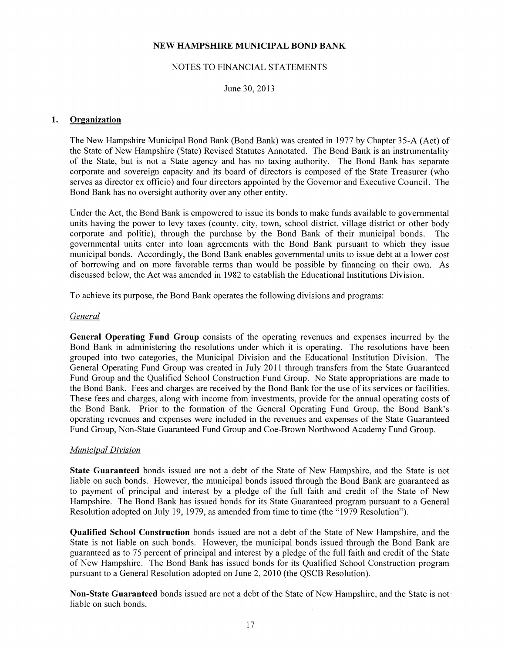#### NOTES TO FINANCIAL STATEMENTS

June 30, 2013

#### **1. Organization**

The New Hampshire Municipal Bond Bank (Bond Bank) was created in 1977 by Chapter 35-A (Act) of the State of New Hampshire (State) Revised Statutes Annotated. The Bond Bank is an instrumentality of the State, but is not a State agency and has no taxing authority. The Bond Bank has separate corporate and sovereign capacity and its board of directors is composed of the State Treasurer (who serves as director ex officio) and four directors appointed by the Governor and Executive Council. The Bond Bank has no oversight authority over any other entity.

Under the Act, the Bond Bank is empowered to issue its bonds to make funds available to governmental units having the power to levy taxes (county, city, town, school district, village district or other body corporate and politic), through the purchase by the Bond Bank of their municipal bonds. The governmental units enter into loan agreements with the Bond Bank pursuant to which they issue municipal bonds. Accordingly, the Bond Bank enables governmental units to issue debt at a lower cost of borrowing and on more favorable terms than would be possible by financing on their own. As discussed below, the Act was amended in 1982 to establish the Educational Institutions Division.

To achieve its purpose, the Bond Bank operates the following divisions and programs:

#### *General*

**General Operating Fund Group** consists of the operating revenues and expenses incurred by the Bond Bank in administering the resolutions under which it is operating. The resolutions have been grouped into two categories, the Municipal Division and the Educational Institution Division. The General Operating Fund Group was created in July 2011 through transfers from the State Guaranteed Fund Group and the Qualified School Construction Fund Group. No State appropriations are made to the Bond Bank. Fees and charges are received by the Bond Bank for the use of its services or facilities. These fees and charges, along with income from investments, provide for the annual operating costs of the Bond Bank. Prior to the formation of the General Operating Fund Group, the Bond Bank's operating revenues and expenses were included in the revenues and expenses of the State Guaranteed Fund Group, Non-State Guaranteed Fund Group and Coe-Brown Northwood Academy Fund Group.

#### *Municipal Division*

**State Guaranteed** bonds issued are not a debt of the State of New Hampshire, and the State is not liable on such bonds. However, the municipal bonds issued through the Bond Bank are guaranteed as to payment of principal and interest by a pledge of the full faith and credit of the State of New Hampshire. The Bond Bank has issued bonds for its State Guaranteed program pursuant to a General Resolution adopted on July 19, 1979, as amended from time to time (the "1979 Resolution").

**Qualified School Construction** bonds issued are not a debt of the State of New Hampshire, and the State is not liable on such bonds. However, the municipal bonds issued through the Bond Bank are guaranteed as to 75 percent of principal and interest by a pledge of the full faith and credit of the State of New Hampshire. The Bond Bank has issued bonds for its Qualified School Construction program pursuant to a General Resolution adopted on June 2, 2010 (the QSCB Resolution).

**Non-State Guaranteed** bonds issued are not a debt of the State of New Hampshire, and the State is not liable on such bonds.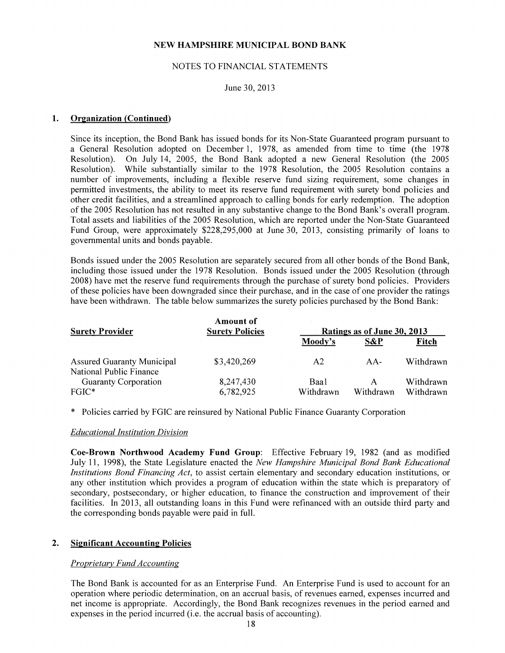#### NOTES TO FINANCIAL STATEMENTS

#### June 30, 2013

#### 1. Organization (Continued)

Since its inception, the Bond Bank has issued bonds for its Non-State Guaranteed program pursuant to a General Resolution adopted on December 1, 1978, as amended from time to time (the 1978 Resolution). On July 14, 2005, the Bond Bank adopted a new General Resolution (the 2005 Resolution). While substantially similar to the 1978 Resolution, the 2005 Resolution contains a number of improvements, including a flexible reserve fund sizing requirement, some changes in permitted investments, the ability to meet its reserve fund requirement with surety bond policies and other credit facilities, and a streamlined approach to calling bonds for early redemption. The adoption of the 2005 Resolution has not resulted in any substantive change to the Bond Bank's overall program. Total assets and liabilities of the 2005 Resolution, which are reported under the Non-State Guaranteed Fund Group, were approximately \$228,295,000 at June 30, 2013, consisting primarily of loans to governmental units and bonds payable.

Bonds issued under the 2005 Resolution are separately secured from all other bonds of the Bond Bank, including those issued under the 1978 Resolution. Bonds issued under the 2005 Resolution (through 2008) have met the reserve fund requirements through the purchase of surety bond policies. Providers of these policies have been downgraded since their purchase, and in the case of one provider the ratings have been withdrawn. The table below summarizes the surety policies purchased by the Bond Bank:

| <b>Surety Provider</b>                                       | <b>Amount of</b><br><b>Surety Policies</b> |                   | Ratings as of June 30, 2013 |                        |
|--------------------------------------------------------------|--------------------------------------------|-------------------|-----------------------------|------------------------|
|                                                              |                                            | Moody's           | <b>S&amp;P</b>              | Fitch                  |
| <b>Assured Guaranty Municipal</b><br>National Public Finance | \$3,420,269                                | A <sub>2</sub>    | $AA-$                       | Withdrawn              |
| <b>Guaranty Corporation</b><br>$FGIC^*$                      | 8,247,430<br>6,782,925                     | Baa1<br>Withdrawn | А<br>Withdrawn              | Withdrawn<br>Withdrawn |

\* Policies carried by FGIC are reinsured by National Public Finance Guaranty Corporation

#### *Educational Institution Division*

Coe-Brown Northwood Academy Fund Group: Effective February 19, 1982 (and as modified July 11, 1998), the State Legislature enacted the *New Hampshire Municipal Bond Bank Educational Institutions Bond Financing Act,* to assist certain elementary and secondary education institutions, or any other institution which provides a program of education within the state which is preparatory of secondary, postsecondary, or higher education, to finance the construction and improvement of their facilities. In 2013, all outstanding loans in this Fund were refinanced with an outside third party and the corresponding bonds payable were paid in full.

#### 2. Significant Accounting Policies

#### *Proprietary Fund Accounting*

The Bond Bank is accounted for as an Enterprise Fund. An Enterprise Fund is used to account for an operation where periodic determination, on an accrual basis, of revenues earned, expenses incurred and net income is appropriate. Accordingly, the Bond Bank recognizes revenues in the period earned and expenses in the period incurred (i.e. the accrual basis of accounting).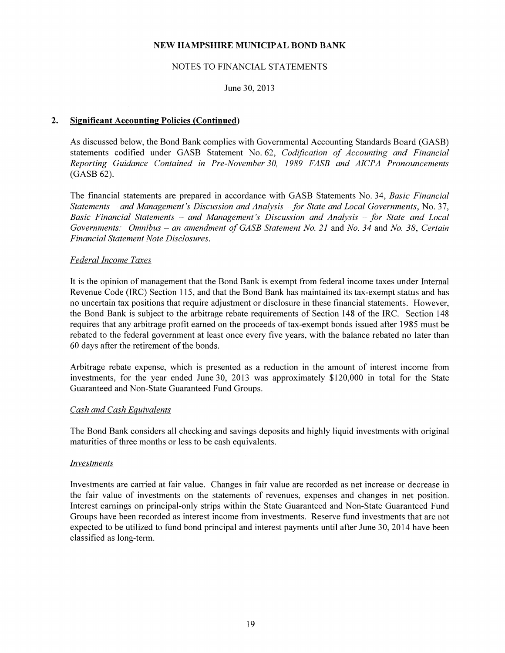#### NOTES TO FINANCIAL STATEMENTS

June 30, 2013

#### 2. Significant Accounting Policies (Continued)

As discussed below, the Bond Bank complies with Governmental Accounting Standards Board (GASB) statements codified under GASB Statement No. 62, *Codification of Accounting and Financial Reporting Guidance Contained in Pre-November 30, 1989 FASB and AICPA Pronouncements*  (GASB 62).

The financial statements are prepared in accordance with GASB Statements No. 34, *Basic Financial Statements- and Management's Discussion and Analysis -for State and Local Governments,* No. 37, *Basic Financial Statements* - *and Management's Discussion and Analysis* - *for State and Local Governments: Omnibus* - *an amendment of GASB Statement No. 21* and *No. 34* and *No. 38, Certain Financial Statement Note Disclosures.* 

#### *Federal Income Taxes*

It is the opinion of management that the Bond Bank is exempt from federal income taxes under Internal Revenue Code (IRC) Section 115, and that the Bond Bank has maintained its tax-exempt status and has no uncertain tax positions that require adjustment or disclosure in these financial statements. However, the Bond Bank is subject to the arbitrage rebate requirements of Section 148 of the IRC. Section 148 requires that any arbitrage profit earned on the proceeds of tax-exempt bonds issued after 1985 must be rebated to the federal government at least once every five years, with the balance rebated no later than 60 days after the retirement of the bonds.

Arbitrage rebate expense, which is presented as a reduction in the amount of interest income from investments, for the year ended June 30, 2013 was approximately \$120,000 in total for the State Guaranteed and Non-State Guaranteed Fund Groups.

#### *Cash and Cash Equivalents*

The Bond Bank considers all checking and savings deposits and highly liquid investments with original maturities of three months or less to be cash equivalents.

#### *Investments*

Investments are carried at fair value. Changes in fair value are recorded as net increase or decrease in the fair value of investments on the statements of revenues, expenses and changes in net position. Interest earnings on principal-only strips within the State Guaranteed and Non-State Guaranteed Fund Groups have been recorded as interest income from investments. Reserve fund investments that are not expected to be utilized to fund bond principal and interest payments until after June 30, 2014 have been classified as long-term.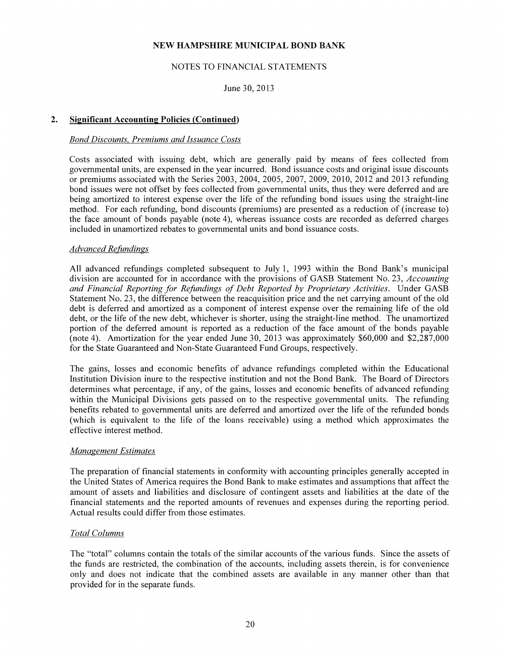#### NOTES TO FINANCIAL STATEMENTS

June 30, 2013

#### 2. Significant Accounting Policies (Continued)

#### *Bond Discounts, Premiums and Issuance Costs*

Costs associated with issuing debt, which are generally paid by means of fees collected from governmental units, are expensed in the year incurred. Bond issuance costs and original issue discounts or premiums associated with the Series 2003, 2004, 2005, 2007, 2009, 2010, 2012 and 2013 refunding bond issues were not offset by fees collected from governmental units, thus they were deferred and are being amortized to interest expense over the life of the refunding bond issues using the straight-line method. For each refunding, bond discounts (premiums) are presented as a reduction of (increase to) the face amount of bonds payable (note 4), whereas issuance costs are recorded as deferred charges included in unamortized rebates to governmental units and bond issuance costs.

#### Advanced Refundings

All advanced refundings completed subsequent to July I, 1993 within the Bond Bank's municipal division are accounted for in accordance with the provisions of GASB Statement No. 23, *Accounting and Financial Reporting for Refundings of Debt Reported by Proprietary Activities.* Under GASB Statement No. 23, the difference between the reacquisition price and the net carrying amount of the old debt is deferred and amortized as a component of interest expense over the remaining life of the old debt, or the life of the new debt, whichever is shorter, using the straight-line method. The unamortized portion of the deferred amount is reported as a reduction of the face amount of the bonds payable (note 4). Amortization for the year ended June 30, 2013 was approximately \$60,000 and \$2,287,000 for the State Guaranteed and Non-State Guaranteed Fund Groups, respectively.

The gains, losses and economic benefits of advance refundings completed within the Educational Institution Division inure to the respective institution and not the Bond Bank. The Board of Directors determines what percentage, if any, of the gains, losses and economic benefits of advanced refunding within the Municipal Divisions gets passed on to the respective governmental units. The refunding benefits rebated to governmental units are deferred and amortized over the life of the refunded bonds (which is equivalent to the life of the loans receivable) using a method which approximates the effective interest method.

#### *Management Estimates*

The preparation of financial statements in conformity with accounting principles generally accepted in the United States of America requires the Bond Bank to make estimates and assumptions that affect the amount of assets and liabilities and disclosure of contingent assets and liabilities at the date of the financial statements and the reported amounts of revenues and expenses during the reporting period. Actual results could differ from those estimates.

#### *Total Columns*

The "total" columns contain the totals of the similar accounts of the various funds. Since the assets of the funds are restricted, the combination of the accounts, including assets therein, is for convenience only and does not indicate that the combined assets are available in any manner other than that provided for in the separate funds.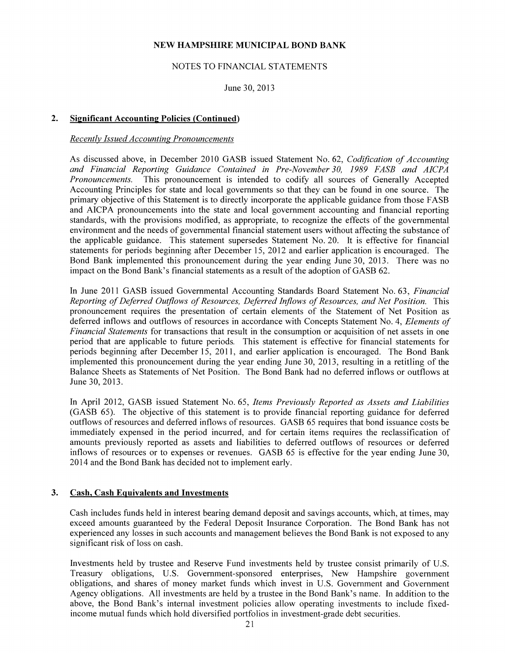#### NOTES TO FINANCIAL STATEMENTS

June 30, 2013

#### 2. Significant Accounting Policies (Continued)

#### *Recently Issued Accounting Pronouncements*

As discussed above, in December 2010 GASB issued Statement No. 62, *Codification of Accounting and Financial Reporting Guidance Contained in Pre-November 30, 1989 FASB and AICPA Pronouncements.* This pronouncement is intended to codify all sources of Generally Accepted Accounting Principles for state and local governments so that they can be found in one source. The primary objective of this Statement is to directly incorporate the applicable guidance from those FASB and AICPA pronouncements into the state and local government accounting and financial reporting standards, with the provisions modified, as appropriate, to recognize the effects of the governmental environment and the needs of governmental financial statement users without affecting the substance of the applicable guidance. This statement supersedes Statement No. 20. It is effective for financial statements for periods beginning after December 15, 2012 and earlier application is encouraged. The Bond Bank implemented this pronouncement during the year ending June 30, 2013. There was no impact on the Bond Bank's financial statements as a result of the adoption of GASB 62.

ln June 2011 GASB issued Governmental Accounting Standards Board Statement No. 63, *Financial Reporting of Deferred Outflows of Resources, Deferred Inflows of Resources, and Net Position.* This pronouncement requires the presentation of certain elements of the Statement of Net Position as deferred inflows and outflows of resources in accordance with Concepts Statement No.4, *Elements of Financial Statements* for transactions that result in the consumption or acquisition of net assets in one period that are applicable to future periods. This statement is effective for financial statements for periods beginning after December 15, 2011, and earlier application is encouraged. The Bond Bank implemented this pronouncement during the year ending June 30, 2013, resulting in a retitling of the Balance Sheets as Statements of Net Position. The Bond Bank had no deferred inflows or outflows at June 30, 2013.

In April 2012, GASB issued Statement No. 65, *Items Previously Reported as Assets and Liabilities*  (GASB 65). The objective of this statement is to provide financial reporting guidance for deferred outflows of resources and deferred inflows of resources. GASB 65 requires that bond issuance costs be immediately expensed in the period incurred, and for certain items requires the reclassification of amounts previously reported as assets and liabilities to deferred outflows of resources or deferred inflows of resources or to expenses or revenues. GASB 65 is effective for the year ending June 30, 2014 and the Bond Bank has decided not to implement early.

#### 3. Cash, Cash Equivalents and Investments

Cash includes funds held in interest bearing demand deposit and savings accounts, which, at times, may exceed amounts guaranteed by the Federal Deposit Insurance Corporation. The Bond Bank has not experienced any losses in such accounts and management believes the Bond Bank is not exposed to any significant risk of loss on cash.

Investments held by trustee and Reserve Fund investments held by trustee consist primarily of U.S. Treasury obligations, U.S. Government-sponsored enterprises, New Hampshire government obligations, and shares of money market funds which invest in U.S. Government and Government Agency obligations. All investments are held by a trustee in the Bond Bank's name. In addition to the above, the Bond Bank's internal investment policies allow operating investments to include fixedincome mutual funds which hold diversified portfolios in investment-grade debt securities.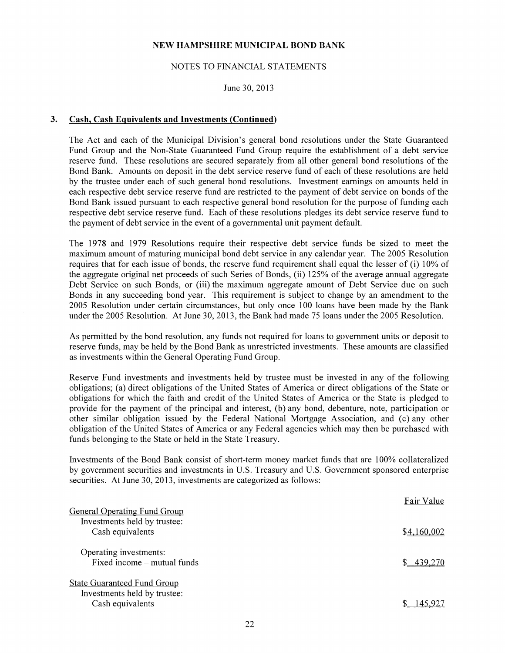#### NOTES TO FINANCIAL STATEMENTS

#### June 30, 2013

#### 3. Cash, Cash Equivalents and Investments (Continued)

The Act and each of the Municipal Division's general bond resolutions under the State Guaranteed Fund Group and the Non-State Guaranteed Fund Group require the establishment of a debt service reserve fund. These resolutions are secured separately from all other general bond resolutions of the Bond Bank. Amounts on deposit in the debt service reserve fund of each of these resolutions are held by the trustee under each of such general bond resolutions. Investment earnings on amounts held in each respective debt service reserve fund are restricted to the payment of debt service on bonds of the Bond Bank issued pursuant to each respective general bond resolution for the purpose of funding each respective debt service reserve fund. Each of these resolutions pledges its debt service reserve fund to the payment of debt service in the event of a governmental unit payment default.

The 1978 and 1979 Resolutions require their respective debt service funds be sized to meet the maximum amount of maturing municipal bond debt service in any calendar year. The 2005 Resolution requires that for each issue of bonds, the reserve fund requirement shall equal the lesser of (i) 10% of the aggregate original net proceeds of such Series of Bonds, (ii) 125% of the average annual aggregate Debt Service on such Bonds, or (iii) the maximum aggregate amount of Debt Service due on such Bonds in any succeeding bond year. This requirement is subject to change by an amendment to the 2005 Resolution under certain circumstances, but only once 100 loans have been made by the Bank under the 2005 Resolution. At June 30, 2013, the Bank had made 75 loans under the 2005 Resolution.

As permitted by the bond resolution, any funds not required for loans to government units or deposit to reserve funds, may be held by the Bond Bank as unrestricted investments. These amounts are classified as investments within the General Operating Fund Group.

Reserve Fund investments and investments held by trustee must be invested in any of the following obligations; (a) direct obligations of the United States of America or direct obligations of the State or obligations for which the faith and credit of the United States of America or the State is pledged to provide for the payment of the principal and interest, (b) any bond, debenture, note, participation or other similar obligation issued by the Federal National Mortgage Association, and (c) any other obligation of the United States of America or any Federal agencies which may then be purchased with funds belonging to the State or held in the State Treasury.

Investments of the Bond Bank consist of short-term money market funds that are 100% collateralized by government securities and investments in U.S. Treasury and U.S. Government sponsored enterprise securities. At June 30, 2013, investments are categorized as follows:

| <b>General Operating Fund Group</b>                                                    | Fair Value  |
|----------------------------------------------------------------------------------------|-------------|
| Investments held by trustee:<br>Cash equivalents                                       | \$4,160,002 |
| Operating investments:<br>Fixed income – mutual funds                                  | 439.270     |
| <b>State Guaranteed Fund Group</b><br>Investments held by trustee:<br>Cash equivalents | 145,927     |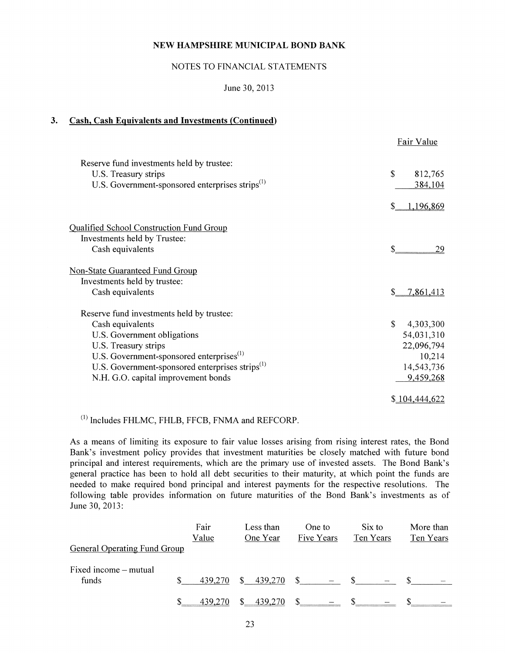#### NOTES TO FINANCIAL STATEMENTS

June 30, 2013

#### 3. Cash, Cash Equivalents and Investments (Continued)

|                                                                                                                                  | Fair Value                |
|----------------------------------------------------------------------------------------------------------------------------------|---------------------------|
| Reserve fund investments held by trustee:<br>U.S. Treasury strips<br>U.S. Government-sponsored enterprises strips <sup>(1)</sup> | \$<br>812,765<br>384,104  |
|                                                                                                                                  | 1,196,869<br>S.           |
| <b>Qualified School Construction Fund Group</b>                                                                                  |                           |
| Investments held by Trustee:                                                                                                     |                           |
| Cash equivalents                                                                                                                 | \$<br>29                  |
| <b>Non-State Guaranteed Fund Group</b>                                                                                           |                           |
| Investments held by trustee:                                                                                                     |                           |
| Cash equivalents                                                                                                                 | 7,861,413<br>S.           |
| Reserve fund investments held by trustee:                                                                                        |                           |
| Cash equivalents                                                                                                                 | $\mathbb{S}$<br>4,303,300 |
| U.S. Government obligations                                                                                                      | 54,031,310                |
| U.S. Treasury strips                                                                                                             | 22,096,794                |
| U.S. Government-sponsored enterprises <sup>(1)</sup>                                                                             | 10,214                    |
| U.S. Government-sponsored enterprises strips <sup>(1)</sup>                                                                      | 14,543,736                |
| N.H. G.O. capital improvement bonds                                                                                              | 9,459,268                 |
|                                                                                                                                  | \$104,444,622             |

 $^{(1)}$  Includes FHLMC, FHLB, FFCB, FNMA and REFCORP.

As a means of limiting its exposure to fair value losses arising from rising interest rates, the Bond Bank's investment policy provides that investment maturities be closely matched with future bond principal and interest requirements, which are the primary use of invested assets. The Bond Bank's general practice has been to hold all debt securities to their maturity, at which point the funds are needed to make required bond principal and interest payments for the respective resolutions. The following table provides information on future maturities of the Bond Bank's investments as of June 30, 2013:

|                                     | Fair<br>Value | Less than<br>One Year |         | One to<br>Five Years |  | Six to<br>Ten Years |  | More than<br>Ten Years |  |
|-------------------------------------|---------------|-----------------------|---------|----------------------|--|---------------------|--|------------------------|--|
| <b>General Operating Fund Group</b> |               |                       |         |                      |  |                     |  |                        |  |
| Fixed income – mutual<br>funds      | 439,270       | $\mathcal{S}$         | 439,270 | <sup>S</sup>         |  |                     |  |                        |  |
|                                     | 439.270       |                       | 439,270 |                      |  |                     |  |                        |  |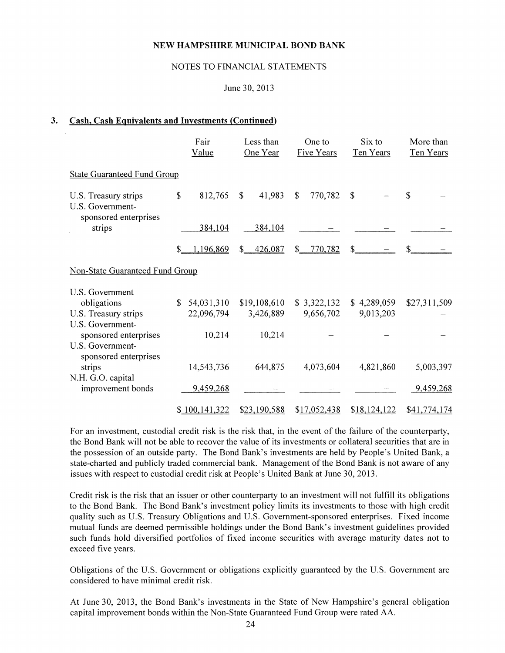#### NOTES TO FINANCIAL STATEMENTS

#### June 30, 2013

#### 3. Cash, Cash Equivalents and Investments (Continued)

|                                                                   |                | Fair<br>Value |              | Less than<br>One Year | One to<br>Five Years |              | Six to<br>Ten Years |              |              | More than<br>Ten Years |
|-------------------------------------------------------------------|----------------|---------------|--------------|-----------------------|----------------------|--------------|---------------------|--------------|--------------|------------------------|
| <b>State Guaranteed Fund Group</b>                                |                |               |              |                       |                      |              |                     |              |              |                        |
| U.S. Treasury strips<br>U.S. Government-<br>sponsored enterprises | $\mathsf{\$}$  | 812,765       | $\mathbb{S}$ | 41,983                | $\mathcal{S}$        | 770,782      | $\mathbb{S}$        |              | $\mathbb{S}$ |                        |
| strips                                                            |                | 384,104       |              | 384,104               |                      |              |                     |              |              |                        |
|                                                                   | $\mathbb{S}^-$ | 1,196,869     | $\mathbb{S}$ | 426,087               | $S_{-}$              | 770,782      | $\mathbb{S}$ .      |              | $S_{-}$      |                        |
| <b>Non-State Guaranteed Fund Group</b>                            |                |               |              |                       |                      |              |                     |              |              |                        |
| U.S. Government                                                   |                |               |              |                       |                      |              |                     |              |              |                        |
| obligations                                                       | \$             | 54,031,310    |              | \$19,108,610          |                      | \$3,322,132  |                     | \$4,289,059  |              | \$27,311,509           |
| U.S. Treasury strips                                              |                | 22,096,794    |              | 3,426,889             |                      | 9,656,702    |                     | 9,013,203    |              |                        |
| U.S. Government-                                                  |                |               |              |                       |                      |              |                     |              |              |                        |
| sponsored enterprises                                             |                | 10,214        |              | 10,214                |                      |              |                     |              |              |                        |
| U.S. Government-<br>sponsored enterprises                         |                |               |              |                       |                      |              |                     |              |              |                        |
| strips                                                            |                | 14,543,736    |              | 644,875               |                      | 4,073,604    |                     | 4,821,860    |              | 5,003,397              |
| N.H. G.O. capital                                                 |                |               |              |                       |                      |              |                     |              |              |                        |
| improvement bonds                                                 |                | 9,459,268     |              |                       |                      |              |                     |              |              | 9,459,268              |
|                                                                   |                | \$100,141,322 |              | \$23,190,588          |                      | \$17,052,438 |                     | \$18,124,122 |              | \$41,774,174           |

For an investment, custodial credit risk is the risk that, in the event of the failure of the counterparty, the Bond Bank will not be able to recover the value of its investments or collateral securities that are in the possession of an outside party. The Bond Bank's investments are held by People's United Bank, a state-charted and publicly traded commercial bank. Management of the Bond Bank is not aware of any issues with respect to custodial credit risk at People's United Bank at June 30, 2013.

Credit risk is the risk that an issuer or other counterparty to an investment will not fulfill its obligations to the Bond Bank. The Bond Bank's investment policy limits its investments to those with high credit quality such as U.S. Treasury Obligations and U.S. Government-sponsored enterprises. Fixed income mutual funds are deemed permissible holdings under the Bond Bank's investment guidelines provided such funds hold diversified portfolios of fixed income securities with average maturity dates not to exceed five years.

Obligations of the U.S. Government or obligations explicitly guaranteed by the U.S. Government are considered to have minimal credit risk.

At June 30, 2013, the Bond Bank's investments in the State of New Hampshire's general obligation capital improvement bonds within the Non-State Guaranteed Fund Group were rated AA.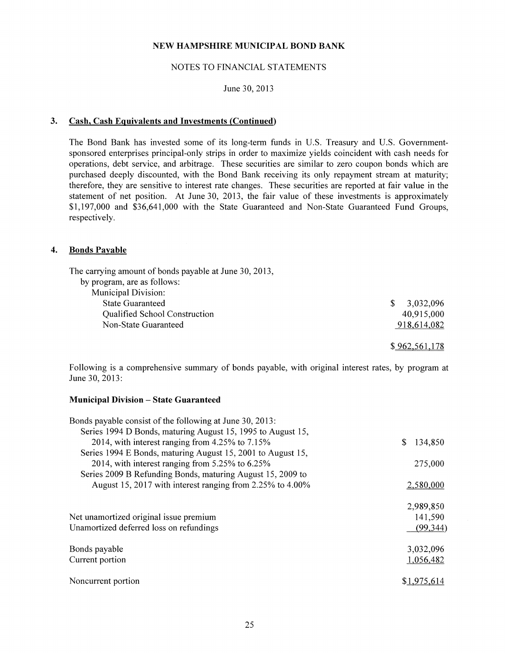#### NOTES TO FINANCIAL STATEMENTS

#### June 30, 2013

#### 3. Cash, Cash Equivalents and Investments (Continued)

The Bond Bank has invested some of its long-term funds in U.S. Treasury and U.S. Governmentsponsored enterprises principal-only strips in order to maximize yields coincident with cash needs for operations, debt service, and arbitrage. These securities are similar to zero coupon bonds which are purchased deeply discounted, with the Bond Bank receiving its only repayment stream at maturity; therefore, they are sensitive to interest rate changes. These securities are reported at fair value in the statement of net position. At June 30, 2013, the fair value of these investments is approximately \$1,197,000 and \$36,641,000 with the State Guaranteed and Non-State Guaranteed Fund Groups, respectively.

#### 4. Bonds Payable

| The carrying amount of bonds payable at June 30, 2013, |             |
|--------------------------------------------------------|-------------|
| by program, are as follows:                            |             |
| Municipal Division:                                    |             |
| <b>State Guaranteed</b>                                | 3,032,096   |
| Qualified School Construction                          | 40,915,000  |
| Non-State Guaranteed                                   | 918,614,082 |
|                                                        |             |

\$ 962.561.178

Following is a comprehensive summary of bonds payable, with original interest rates, by program at June 30, 2013:

#### Municipal Division- State Guaranteed

| Bonds payable consist of the following at June 30, 2013:    |              |
|-------------------------------------------------------------|--------------|
| Series 1994 D Bonds, maturing August 15, 1995 to August 15, |              |
| 2014, with interest ranging from 4.25% to 7.15%             | S<br>134,850 |
| Series 1994 E Bonds, maturing August 15, 2001 to August 15, |              |
| 2014, with interest ranging from $5.25\%$ to $6.25\%$       | 275,000      |
| Series 2009 B Refunding Bonds, maturing August 15, 2009 to  |              |
| August 15, 2017 with interest ranging from 2.25% to 4.00%   | 2,580,000    |
|                                                             | 2,989,850    |
| Net unamortized original issue premium                      | 141,590      |
| Unamortized deferred loss on refundings                     | (99, 344)    |
| Bonds payable                                               | 3,032,096    |
| Current portion                                             | 1,056,482    |
| Noncurrent portion                                          | \$1,975,614  |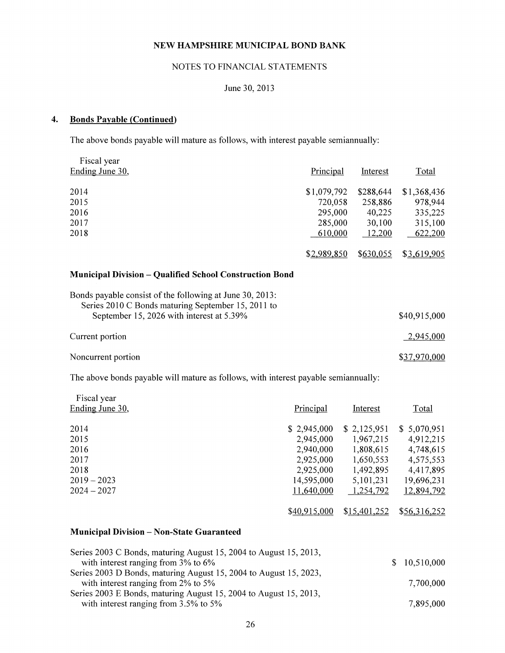#### NOTES TO FINANCIAL STATEMENTS

#### June 30, 2013

## 4. Bonds Payable (Continued)

The above bonds payable will mature as follows, with interest payable semiannually:

| Fiscal year                                                                                                    |             |           |              |
|----------------------------------------------------------------------------------------------------------------|-------------|-----------|--------------|
| Ending June 30,                                                                                                | Principal   | Interest  | Total        |
| 2014                                                                                                           | \$1,079,792 | \$288,644 | \$1,368,436  |
| 2015                                                                                                           | 720,058     | 258,886   | 978,944      |
| 2016                                                                                                           | 295,000     | 40,225    | 335,225      |
| 2017                                                                                                           | 285,000     | 30,100    | 315,100      |
| 2018                                                                                                           | 610,000     | 12,200    | 622,200      |
|                                                                                                                |             |           |              |
|                                                                                                                | \$2,989,850 | \$630,055 | \$3,619,905  |
| <b>Municipal Division – Qualified School Construction Bond</b>                                                 |             |           |              |
| Bonds payable consist of the following at June 30, 2013:<br>Series 2010 C Bonds maturing September 15, 2011 to |             |           |              |
| September 15, 2026 with interest at 5.39%                                                                      |             |           | \$40,915,000 |
| Current portion                                                                                                |             |           | 2,945,000    |
| Noncurrent portion                                                                                             |             |           | \$37,970,000 |
|                                                                                                                |             |           |              |

The above bonds payable will mature as follows, with interest payable semiannually:

| Fiscal year<br>Ending June 30, | Principal    | Interest     | Total        |
|--------------------------------|--------------|--------------|--------------|
| 2014                           | \$2,945,000  | \$2,125,951  | \$5,070,951  |
| 2015                           | 2,945,000    | 1,967,215    | 4,912,215    |
| 2016                           | 2,940,000    | 1,808,615    | 4,748,615    |
| 2017                           | 2,925,000    | 1,650,553    | 4,575,553    |
| 2018                           | 2,925,000    | 1,492,895    | 4,417,895    |
| $2019 - 2023$                  | 14,595,000   | 5,101,231    | 19,696,231   |
| $2024 - 2027$                  | 11,640,000   | 1,254,792    | 12,894,792   |
|                                |              |              |              |
|                                | \$40,915,000 | \$15,401,252 | \$56,316,252 |

## Municipal Division- Non-State Guaranteed

| Series 2003 C Bonds, maturing August 15, 2004 to August 15, 2013, |              |
|-------------------------------------------------------------------|--------------|
| with interest ranging from $3\%$ to $6\%$                         | \$10,510,000 |
| Series 2003 D Bonds, maturing August 15, 2004 to August 15, 2023, |              |
| with interest ranging from $2\%$ to $5\%$                         | 7,700,000    |
| Series 2003 E Bonds, maturing August 15, 2004 to August 15, 2013, |              |
| with interest ranging from $3.5\%$ to $5\%$                       | 7,895,000    |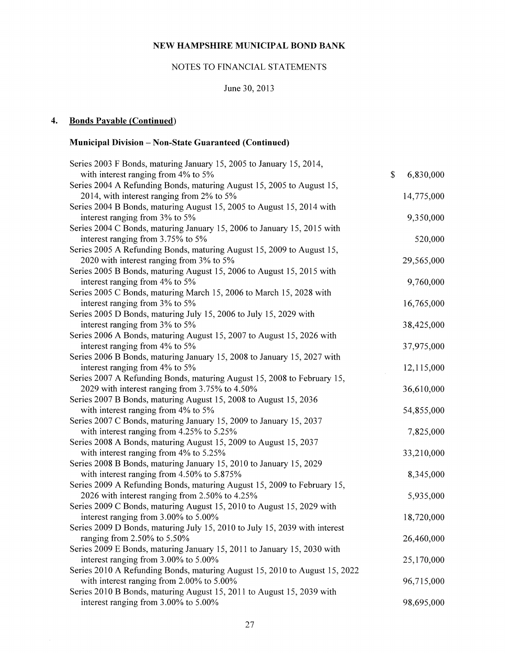#### NOTES TO FINANCIAL STATEMENTS

## June 30, 2013

## 4. Bonds Payable (Continued)

## Municipal Division -Non-State Guaranteed (Continued)

| Series 2003 F Bonds, maturing January 15, 2005 to January 15, 2014,        |                 |
|----------------------------------------------------------------------------|-----------------|
| with interest ranging from 4% to 5%                                        | \$<br>6,830,000 |
| Series 2004 A Refunding Bonds, maturing August 15, 2005 to August 15,      |                 |
| 2014, with interest ranging from 2% to 5%                                  | 14,775,000      |
| Series 2004 B Bonds, maturing August 15, 2005 to August 15, 2014 with      |                 |
| interest ranging from 3% to 5%                                             | 9,350,000       |
| Series 2004 C Bonds, maturing January 15, 2006 to January 15, 2015 with    |                 |
| interest ranging from 3.75% to 5%                                          | 520,000         |
| Series 2005 A Refunding Bonds, maturing August 15, 2009 to August 15,      |                 |
| 2020 with interest ranging from 3% to 5%                                   | 29,565,000      |
| Series 2005 B Bonds, maturing August 15, 2006 to August 15, 2015 with      |                 |
| interest ranging from 4% to 5%                                             | 9,760,000       |
| Series 2005 C Bonds, maturing March 15, 2006 to March 15, 2028 with        |                 |
| interest ranging from 3% to 5%                                             | 16,765,000      |
| Series 2005 D Bonds, maturing July 15, 2006 to July 15, 2029 with          |                 |
| interest ranging from 3% to 5%                                             | 38,425,000      |
| Series 2006 A Bonds, maturing August 15, 2007 to August 15, 2026 with      |                 |
| interest ranging from 4% to 5%                                             | 37,975,000      |
| Series 2006 B Bonds, maturing January 15, 2008 to January 15, 2027 with    |                 |
| interest ranging from 4% to 5%                                             | 12,115,000      |
| Series 2007 A Refunding Bonds, maturing August 15, 2008 to February 15,    |                 |
| 2029 with interest ranging from 3.75% to 4.50%                             | 36,610,000      |
| Series 2007 B Bonds, maturing August 15, 2008 to August 15, 2036           |                 |
| with interest ranging from 4% to 5%                                        | 54,855,000      |
| Series 2007 C Bonds, maturing January 15, 2009 to January 15, 2037         |                 |
| with interest ranging from 4.25% to 5.25%                                  | 7,825,000       |
| Series 2008 A Bonds, maturing August 15, 2009 to August 15, 2037           |                 |
| with interest ranging from 4% to 5.25%                                     | 33,210,000      |
| Series 2008 B Bonds, maturing January 15, 2010 to January 15, 2029         |                 |
| with interest ranging from 4.50% to 5.875%                                 | 8,345,000       |
| Series 2009 A Refunding Bonds, maturing August 15, 2009 to February 15,    |                 |
| 2026 with interest ranging from 2.50% to 4.25%                             | 5,935,000       |
| Series 2009 C Bonds, maturing August 15, 2010 to August 15, 2029 with      |                 |
| interest ranging from 3.00% to 5.00%                                       | 18,720,000      |
| Series 2009 D Bonds, maturing July 15, 2010 to July 15, 2039 with interest |                 |
| ranging from $2.50\%$ to $5.50\%$                                          | 26,460,000      |
| Series 2009 E Bonds, maturing January 15, 2011 to January 15, 2030 with    |                 |
| interest ranging from 3.00% to 5.00%                                       | 25,170,000      |
| Series 2010 A Refunding Bonds, maturing August 15, 2010 to August 15, 2022 |                 |
| with interest ranging from 2.00% to 5.00%                                  | 96,715,000      |
| Series 2010 B Bonds, maturing August 15, 2011 to August 15, 2039 with      |                 |
| interest ranging from 3.00% to 5.00%                                       | 98,695,000      |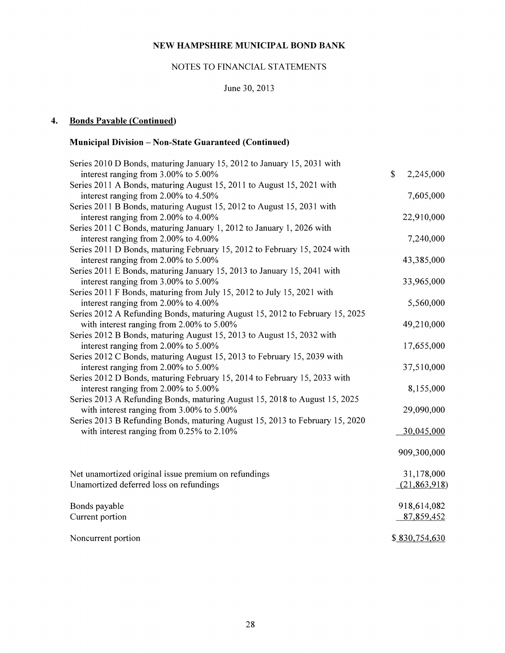#### NOTES TO FINANCIAL STATEMENTS

## June 30, 2013

## 4. Bonds Payable (Continued)

## Municipal Division- Non-State Guaranteed (Continued)

| Series 2010 D Bonds, maturing January 15, 2012 to January 15, 2031 with      |                 |
|------------------------------------------------------------------------------|-----------------|
| interest ranging from 3.00% to 5.00%                                         | \$<br>2,245,000 |
| Series 2011 A Bonds, maturing August 15, 2011 to August 15, 2021 with        |                 |
| interest ranging from 2.00% to 4.50%                                         | 7,605,000       |
| Series 2011 B Bonds, maturing August 15, 2012 to August 15, 2031 with        |                 |
| interest ranging from 2.00% to 4.00%                                         | 22,910,000      |
| Series 2011 C Bonds, maturing January 1, 2012 to January 1, 2026 with        |                 |
| interest ranging from 2.00% to 4.00%                                         | 7,240,000       |
| Series 2011 D Bonds, maturing February 15, 2012 to February 15, 2024 with    |                 |
| interest ranging from 2.00% to 5.00%                                         | 43,385,000      |
| Series 2011 E Bonds, maturing January 15, 2013 to January 15, 2041 with      |                 |
| interest ranging from 3.00% to 5.00%                                         | 33,965,000      |
| Series 2011 F Bonds, maturing from July 15, 2012 to July 15, 2021 with       |                 |
| interest ranging from 2.00% to 4.00%                                         | 5,560,000       |
| Series 2012 A Refunding Bonds, maturing August 15, 2012 to February 15, 2025 |                 |
| with interest ranging from $2.00\%$ to $5.00\%$                              | 49,210,000      |
| Series 2012 B Bonds, maturing August 15, 2013 to August 15, 2032 with        |                 |
| interest ranging from 2.00% to 5.00%                                         | 17,655,000      |
| Series 2012 C Bonds, maturing August 15, 2013 to February 15, 2039 with      |                 |
| interest ranging from 2.00% to 5.00%                                         | 37,510,000      |
| Series 2012 D Bonds, maturing February 15, 2014 to February 15, 2033 with    |                 |
| interest ranging from 2.00% to 5.00%                                         | 8,155,000       |
| Series 2013 A Refunding Bonds, maturing August 15, 2018 to August 15, 2025   |                 |
| with interest ranging from $3.00\%$ to $5.00\%$                              | 29,090,000      |
| Series 2013 B Refunding Bonds, maturing August 15, 2013 to February 15, 2020 |                 |
| with interest ranging from 0.25% to 2.10%                                    | 30,045,000      |
|                                                                              |                 |
|                                                                              | 909,300,000     |
|                                                                              |                 |
| Net unamortized original issue premium on refundings                         | 31,178,000      |
| Unamortized deferred loss on refundings                                      | (21,863,918)    |
|                                                                              |                 |
| Bonds payable                                                                | 918,614,082     |
| Current portion                                                              | 87,859,452      |
|                                                                              |                 |
| Noncurrent portion                                                           | \$830,754,630   |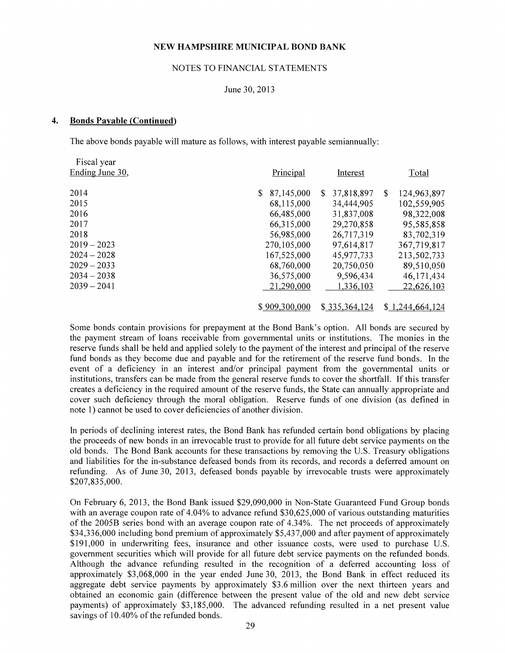#### NOTES TO FINANCIAL STATEMENTS

June 30,2013

#### 4. Bonds Payable (Continued)

The above bonds payable will mature as follows, with interest payable semiannually:

| Fiscal year     |                  |                   |                             |
|-----------------|------------------|-------------------|-----------------------------|
| Ending June 30, | Principal        | Interest          | Total                       |
| 2014            | 87,145,000<br>S. | 37,818,897<br>\$. | 124,963,897<br>$\mathbb{S}$ |
| 2015            | 68,115,000       | 34,444,905        | 102,559,905                 |
| 2016            | 66,485,000       | 31,837,008        | 98,322,008                  |
| 2017            | 66,315,000       | 29,270,858        | 95,585,858                  |
| 2018            | 56,985,000       | 26,717,319        | 83,702,319                  |
| $2019 - 2023$   | 270,105,000      | 97,614,817        | 367,719,817                 |
| $2024 - 2028$   | 167,525,000      | 45,977,733        | 213,502,733                 |
| $2029 - 2033$   | 68,760,000       | 20,750,050        | 89,510,050                  |
| $2034 - 2038$   | 36,575,000       | 9,596,434         | 46, 171, 434                |
| $2039 - 2041$   | 21,290,000       | 1,336,103         | 22,626,103                  |
|                 | \$909,300,000    | \$335,364,124     | \$1,244,664,124             |

Some bonds contain provisions for prepayment at the Bond Bank's option. All bonds are secured by the payment stream of loans receivable from governmental units or institutions. The monies in the reserve funds shall be held and applied solely to the payment of the interest and principal of the reserve fund bonds as they become due and payable and for the retirement of the reserve fund bonds. In the event of a deficiency in an interest and/or principal payment from the governmental units or institutions, transfers can be made from the general reserve funds to cover the shortfall. If this transfer creates a deficiency in the required amount of the reserve funds, the State can annually appropriate and cover such deficiency through the moral obligation. Reserve funds of one division (as defined in note 1) cannot be used to cover deficiencies of another division.

In periods of declining interest rates, the Bond Bank has refunded certain bond obligations by placing the proceeds of new bonds in an irrevocable trust to provide for all future debt service payments on the old bonds. The Bond Bank accounts for these transactions by removing the U.S. Treasury obligations and liabilities for the in-substance defeased bonds from its records, and records a deferred amount on refunding. As of June 30, 2013, defeased bonds payable by irrevocable trusts were approximately \$207,835,000.

On February 6, 2013, the Bond Bank issued \$29,090,000 in Non-State Guaranteed Fund Group bonds with an average coupon rate of 4.04% to advance refund \$30,625,000 of various outstanding maturities of the 2005B series bond with an average coupon rate of 4.34%. The net proceeds of approximately \$34,336,000 including bond premium of approximately \$5,437,000 and after payment of approximately \$191,000 in underwriting fees, insurance and other issuance costs, were used to purchase U.S. government securities which will provide for all future debt service payments on the refunded bonds. Although the advance refunding resulted in the recognition of a deferred accounting loss of approximately \$3,068,000 in the year ended June 30, 2013, the Bond Bank in effect reduced its aggregate debt service payments by approximately \$3.6 million over the next thirteen years and obtained an economic gain (difference between the present value of the old and new debt service payments) of approximately \$3,185,000. The advanced refunding resulted in a net present value savings of 10.40% of the refunded bonds.